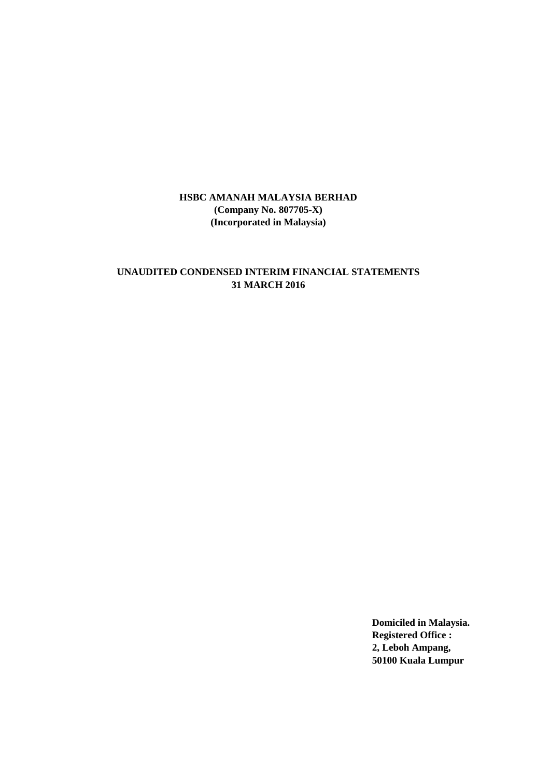## **UNAUDITED CONDENSED INTERIM FINANCIAL STATEMENTS 31 MARCH 2016**

**Domiciled in Malaysia. Registered Office : 2, Leboh Ampang, 50100 Kuala Lumpur**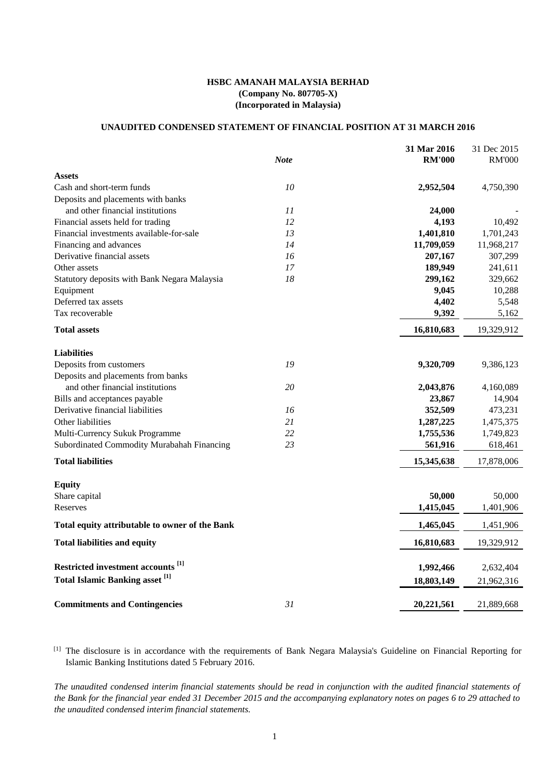## **UNAUDITED CONDENSED STATEMENT OF FINANCIAL POSITION AT 31 MARCH 2016**

|                                                   |             | 31 Mar 2016   | 31 Dec 2015   |  |
|---------------------------------------------------|-------------|---------------|---------------|--|
|                                                   | <b>Note</b> | <b>RM'000</b> | <b>RM'000</b> |  |
| <b>Assets</b>                                     |             |               |               |  |
| Cash and short-term funds                         | 10          | 2,952,504     | 4,750,390     |  |
| Deposits and placements with banks                |             |               |               |  |
| and other financial institutions                  | 11          | 24,000        |               |  |
| Financial assets held for trading                 | 12          | 4,193         | 10,492        |  |
| Financial investments available-for-sale          | 13          | 1,401,810     | 1,701,243     |  |
| Financing and advances                            | 14          | 11,709,059    | 11,968,217    |  |
| Derivative financial assets                       | 16          | 207,167       | 307,299       |  |
| Other assets                                      | 17          | 189,949       | 241,611       |  |
| Statutory deposits with Bank Negara Malaysia      | 18          | 299,162       | 329,662       |  |
| Equipment                                         |             | 9,045         | 10,288        |  |
| Deferred tax assets                               |             | 4,402         | 5,548         |  |
| Tax recoverable                                   |             | 9,392         | 5,162         |  |
| <b>Total assets</b>                               |             | 16,810,683    | 19,329,912    |  |
| <b>Liabilities</b>                                |             |               |               |  |
| Deposits from customers                           | 19          | 9,320,709     | 9,386,123     |  |
| Deposits and placements from banks                |             |               |               |  |
| and other financial institutions                  | 20          | 2,043,876     | 4,160,089     |  |
| Bills and acceptances payable                     |             | 23,867        | 14,904        |  |
| Derivative financial liabilities                  | 16          | 352,509       | 473,231       |  |
| Other liabilities                                 | 21          | 1,287,225     | 1,475,375     |  |
| Multi-Currency Sukuk Programme                    | 22          | 1,755,536     | 1,749,823     |  |
| Subordinated Commodity Murabahah Financing        | 23          | 561,916       | 618,461       |  |
| <b>Total liabilities</b>                          |             | 15,345,638    | 17,878,006    |  |
|                                                   |             |               |               |  |
| <b>Equity</b>                                     |             |               |               |  |
| Share capital                                     |             | 50,000        | 50,000        |  |
| Reserves                                          |             | 1,415,045     | 1,401,906     |  |
| Total equity attributable to owner of the Bank    |             | 1,465,045     | 1,451,906     |  |
| <b>Total liabilities and equity</b>               |             | 16,810,683    | 19,329,912    |  |
| Restricted investment accounts <sup>[1]</sup>     |             | 1,992,466     | 2,632,404     |  |
| <b>Total Islamic Banking asset</b> <sup>[1]</sup> |             |               |               |  |
|                                                   |             | 18,803,149    | 21,962,316    |  |
| <b>Commitments and Contingencies</b>              | 31          | 20,221,561    | 21,889,668    |  |

[1] The disclosure is in accordance with the requirements of Bank Negara Malaysia's Guideline on Financial Reporting for Islamic Banking Institutions dated 5 February 2016.

The unaudited condensed interim financial statements should be read in conjunction with the audited financial statements of the Bank for the financial year ended 31 December 2015 and the accompanying explanatory notes on pages 6 to 29 attached to *the unaudited condensed interim financial statements.*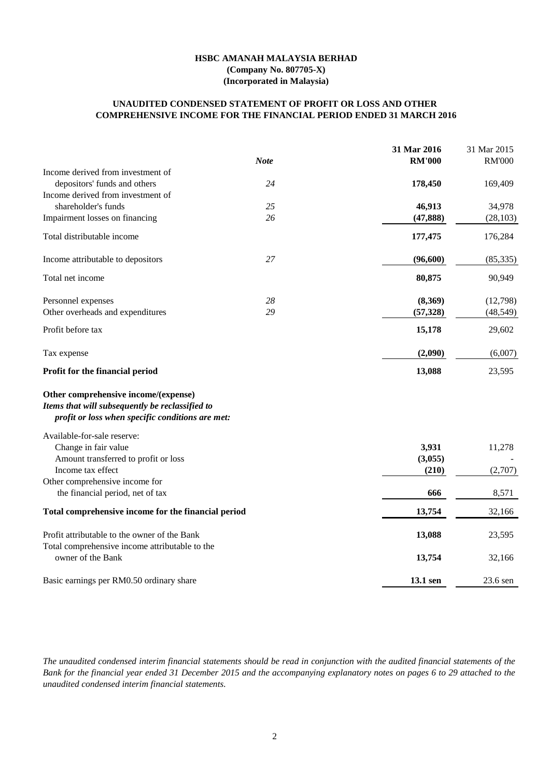### **COMPREHENSIVE INCOME FOR THE FINANCIAL PERIOD ENDED 31 MARCH 2016 UNAUDITED CONDENSED STATEMENT OF PROFIT OR LOSS AND OTHER**

|                                                     |               | 31 Mar 2015             |
|-----------------------------------------------------|---------------|-------------------------|
| <b>Note</b>                                         | <b>RM'000</b> | <b>RM'000</b>           |
|                                                     |               |                         |
| 24                                                  | 178,450       | 169,409                 |
|                                                     |               |                         |
| 25                                                  | 46,913        | 34,978                  |
| 26                                                  | (47, 888)     | (28, 103)               |
|                                                     | 177,475       | 176,284                 |
| 27                                                  | (96,600)      | (85, 335)               |
|                                                     | 80,875        | 90,949                  |
| 28                                                  | (8,369)       | (12,798)                |
| 29                                                  | (57, 328)     | (48, 549)               |
|                                                     | 15,178        | 29,602                  |
|                                                     | (2,090)       | (6,007)                 |
|                                                     | 13,088        | 23,595                  |
| profit or loss when specific conditions are met:    |               |                         |
|                                                     |               |                         |
|                                                     | 3,931         | 11,278                  |
|                                                     | (3,055)       |                         |
|                                                     | (210)         | (2,707)                 |
|                                                     |               |                         |
|                                                     | 666           | 8,571                   |
| Total comprehensive income for the financial period | 13,754        | 32,166                  |
|                                                     | 13,088        | 23,595                  |
|                                                     | 13,754        | 32,166                  |
|                                                     |               | 23.6 sen                |
|                                                     |               | 31 Mar 2016<br>13.1 sen |

The unaudited condensed interim financial statements should be read in conjunction with the audited financial statements of the Bank for the financial year ended 31 December 2015 and the accompanying explanatory notes on pages 6 to 29 attached to the *unaudited condensed interim financial statements.*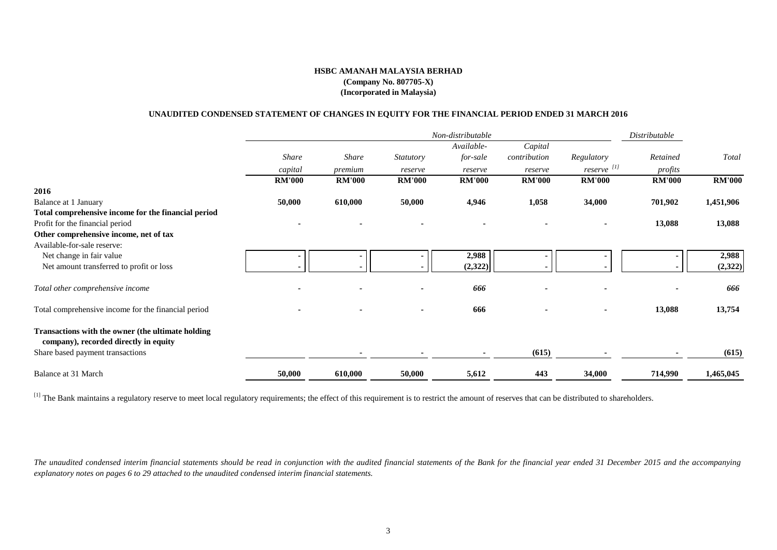### **UNAUDITED CONDENSED STATEMENT OF CHANGES IN EQUITY FOR THE FINANCIAL PERIOD ENDED 31 MARCH 2016**

|                                                                                            |               |               |                  | Non-distributable |               |                        | Distributable |               |
|--------------------------------------------------------------------------------------------|---------------|---------------|------------------|-------------------|---------------|------------------------|---------------|---------------|
|                                                                                            |               |               |                  | Available-        | Capital       |                        |               |               |
|                                                                                            | Share         | <b>Share</b>  | <b>Statutory</b> | for-sale          | contribution  | Regulatory             | Retained      | Total         |
|                                                                                            | capital       | premium       | reserve          | reserve           | reserve       | reserve <sup>[1]</sup> | profits       |               |
|                                                                                            | <b>RM'000</b> | <b>RM'000</b> | <b>RM'000</b>    | <b>RM'000</b>     | <b>RM'000</b> | <b>RM'000</b>          | <b>RM'000</b> | <b>RM'000</b> |
| 2016                                                                                       |               |               |                  |                   |               |                        |               |               |
| <b>Balance at 1 January</b>                                                                | 50,000        | 610,000       | 50,000           | 4,946             | 1,058         | 34,000                 | 701,902       | 1,451,906     |
| Total comprehensive income for the financial period                                        |               |               |                  |                   |               |                        |               |               |
| Profit for the financial period                                                            |               |               |                  |                   |               |                        | 13,088        | 13,088        |
| Other comprehensive income, net of tax                                                     |               |               |                  |                   |               |                        |               |               |
| Available-for-sale reserve:                                                                |               |               |                  |                   |               |                        |               |               |
| Net change in fair value                                                                   |               |               |                  | 2,988             |               |                        |               | 2,988         |
| Net amount transferred to profit or loss                                                   |               |               |                  | (2,322)           |               |                        |               | (2,322)       |
| Total other comprehensive income                                                           |               |               |                  | 666               |               |                        |               | 666           |
| Total comprehensive income for the financial period                                        |               |               |                  | 666               |               |                        | 13,088        | 13,754        |
| Transactions with the owner (the ultimate holding<br>company), recorded directly in equity |               |               |                  |                   |               |                        |               |               |
| Share based payment transactions                                                           |               |               |                  |                   | (615)         |                        |               | (615)         |
| <b>Balance at 31 March</b>                                                                 | 50,000        | 610,000       | 50,000           | 5,612             | 443           | 34,000                 | 714,990       | 1,465,045     |

<sup>[1]</sup> The Bank maintains a regulatory reserve to meet local regulatory requirements; the effect of this requirement is to restrict the amount of reserves that can be distributed to shareholders.

The unaudited condensed interim financial statements should be read in conjunction with the audited financial statements of the Bank for the financial year ended 31 December 2015 and the accompanying *explanatory notes on pages 6 to 29 attached to the unaudited condensed interim financial statements.*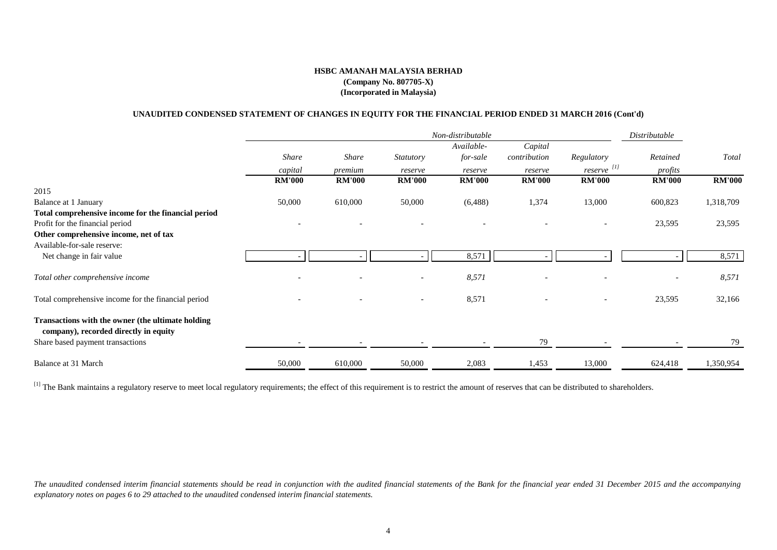## **(Company No. 807705-X) (Incorporated in Malaysia) HSBC AMANAH MALAYSIA BERHAD**

### **UNAUDITED CONDENSED STATEMENT OF CHANGES IN EQUITY FOR THE FINANCIAL PERIOD ENDED 31 MARCH 2016 (Cont'd)**

|                                                                                            |               |               |                  | Non-distributable |               |                        | Distributable |               |
|--------------------------------------------------------------------------------------------|---------------|---------------|------------------|-------------------|---------------|------------------------|---------------|---------------|
|                                                                                            |               |               |                  | Available-        | Capital       |                        |               |               |
|                                                                                            | Share         | <b>Share</b>  | <b>Statutory</b> | for-sale          | contribution  | Regulatory             | Retained      | Total         |
|                                                                                            | capital       | premium       | reserve          | reserve           | reserve       | reserve <sup>[1]</sup> | profits       |               |
|                                                                                            | <b>RM'000</b> | <b>RM'000</b> | <b>RM'000</b>    | <b>RM'000</b>     | <b>RM'000</b> | <b>RM'000</b>          | <b>RM'000</b> | <b>RM'000</b> |
| 2015                                                                                       |               |               |                  |                   |               |                        |               |               |
| Balance at 1 January                                                                       | 50,000        | 610,000       | 50,000           | (6, 488)          | 1,374         | 13,000                 | 600,823       | 1,318,709     |
| Total comprehensive income for the financial period                                        |               |               |                  |                   |               |                        |               |               |
| Profit for the financial period                                                            |               |               |                  |                   |               |                        | 23,595        | 23,595        |
| Other comprehensive income, net of tax                                                     |               |               |                  |                   |               |                        |               |               |
| Available-for-sale reserve:                                                                |               |               |                  |                   |               |                        |               |               |
| Net change in fair value                                                                   |               |               |                  | 8,571             |               |                        |               | 8,571         |
| Total other comprehensive income                                                           |               |               |                  | 8,571             |               |                        |               | 8,571         |
| Total comprehensive income for the financial period                                        |               |               |                  | 8,571             |               |                        | 23,595        | 32,166        |
| Transactions with the owner (the ultimate holding<br>company), recorded directly in equity |               |               |                  |                   |               |                        |               |               |
| Share based payment transactions                                                           |               |               |                  |                   | 79            |                        |               | 79            |
| Balance at 31 March                                                                        | 50,000        | 610,000       | 50,000           | 2,083             | 1,453         | 13,000                 | 624,418       | 1,350,954     |

<sup>[1]</sup> The Bank maintains a regulatory reserve to meet local regulatory requirements; the effect of this requirement is to restrict the amount of reserves that can be distributed to shareholders.

The unaudited condensed interim financial statements should be read in conjunction with the audited financial statements of the Bank for the financial year ended 31 December 2015 and the accompanying *explanatory notes on pages 6 to 29 attached to the unaudited condensed interim financial statements.*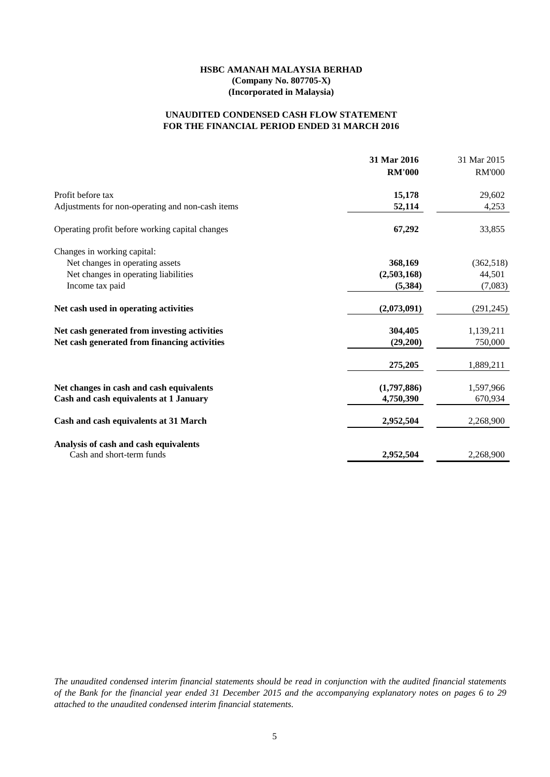## **FOR THE FINANCIAL PERIOD ENDED 31 MARCH 2016 UNAUDITED CONDENSED CASH FLOW STATEMENT**

|                                                  | 31 Mar 2016<br><b>RM'000</b> | 31 Mar 2015<br><b>RM'000</b> |
|--------------------------------------------------|------------------------------|------------------------------|
| Profit before tax                                | 15,178                       | 29,602                       |
| Adjustments for non-operating and non-cash items | 52,114                       | 4,253                        |
| Operating profit before working capital changes  | 67,292                       | 33,855                       |
| Changes in working capital:                      |                              |                              |
| Net changes in operating assets                  | 368,169                      | (362, 518)                   |
| Net changes in operating liabilities             | (2,503,168)                  | 44,501                       |
| Income tax paid                                  | (5,384)                      | (7,083)                      |
| Net cash used in operating activities            | (2,073,091)                  | (291, 245)                   |
| Net cash generated from investing activities     | 304,405                      | 1,139,211                    |
| Net cash generated from financing activities     | (29,200)                     | 750,000                      |
|                                                  | 275,205                      | 1,889,211                    |
| Net changes in cash and cash equivalents         | (1,797,886)                  | 1,597,966                    |
| Cash and cash equivalents at 1 January           | 4,750,390                    | 670,934                      |
| Cash and cash equivalents at 31 March            | 2,952,504                    | 2,268,900                    |
| Analysis of cash and cash equivalents            |                              |                              |
| Cash and short-term funds                        | 2,952,504                    | 2,268,900                    |

The unaudited condensed interim financial statements should be read in conjunction with the audited financial statements of the Bank for the financial year ended 31 December 2015 and the accompanying explanatory notes on pages 6 to 29 *attached to the unaudited condensed interim financial statements.*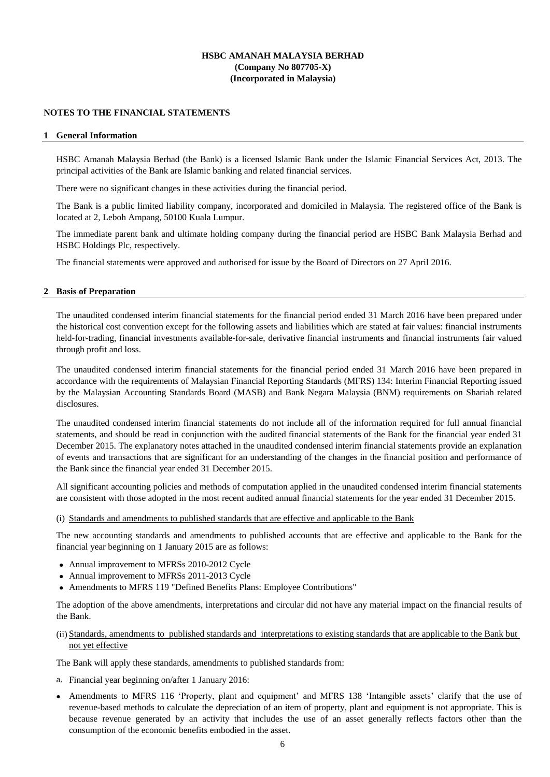### **NOTES TO THE FINANCIAL STATEMENTS**

### **1 General Information**

HSBC Amanah Malaysia Berhad (the Bank) is a licensed Islamic Bank under the Islamic Financial Services Act, 2013. The principal activities of the Bank are Islamic banking and related financial services.

There were no significant changes in these activities during the financial period.

The Bank is a public limited liability company, incorporated and domiciled in Malaysia. The registered office of the Bank is located at 2, Leboh Ampang, 50100 Kuala Lumpur.

The immediate parent bank and ultimate holding company during the financial period are HSBC Bank Malaysia Berhad and HSBC Holdings Plc, respectively.

The financial statements were approved and authorised for issue by the Board of Directors on 27 April 2016.

#### **2 Basis of Preparation**

The unaudited condensed interim financial statements for the financial period ended 31 March 2016 have been prepared under the historical cost convention except for the following assets and liabilities which are stated at fair values: financial instruments held-for-trading, financial investments available-for-sale, derivative financial instruments and financial instruments fair valued through profit and loss.

The unaudited condensed interim financial statements for the financial period ended 31 March 2016 have been prepared in accordance with the requirements of Malaysian Financial Reporting Standards (MFRS) 134: Interim Financial Reporting issued by the Malaysian Accounting Standards Board (MASB) and Bank Negara Malaysia (BNM) requirements on Shariah related disclosures.

The unaudited condensed interim financial statements do not include all of the information required for full annual financial statements, and should be read in conjunction with the audited financial statements of the Bank for the financial year ended 31 December 2015. The explanatory notes attached in the unaudited condensed interim financial statements provide an explanation of events and transactions that are significant for an understanding of the changes in the financial position and performance of the Bank since the financial year ended 31 December 2015.

All significant accounting policies and methods of computation applied in the unaudited condensed interim financial statements are consistent with those adopted in the most recent audited annual financial statements for the year ended 31 December 2015.

### (i) Standards and amendments to published standards that are effective and applicable to the Bank

The new accounting standards and amendments to published accounts that are effective and applicable to the Bank for the financial year beginning on 1 January 2015 are as follows:

- Annual improvement to MFRSs 2010-2012 Cycle
- Annual improvement to MFRSs 2011-2013 Cycle
- Amendments to MFRS 119 "Defined Benefits Plans: Employee Contributions"

The adoption of the above amendments, interpretations and circular did not have any material impact on the financial results of the Bank.

(ii) Standards, amendments to published standards and interpretations to existing standards that are applicable to the Bank but not yet effective

The Bank will apply these standards, amendments to published standards from:

- a. Financial year beginning on/after 1 January 2016:
- Amendments to MFRS 116 'Property, plant and equipment' and MFRS 138 'Intangible assets' clarify that the use of revenue-based methods to calculate the depreciation of an item of property, plant and equipment is not appropriate. This is because revenue generated by an activity that includes the use of an asset generally reflects factors other than the consumption of the economic benefits embodied in the asset.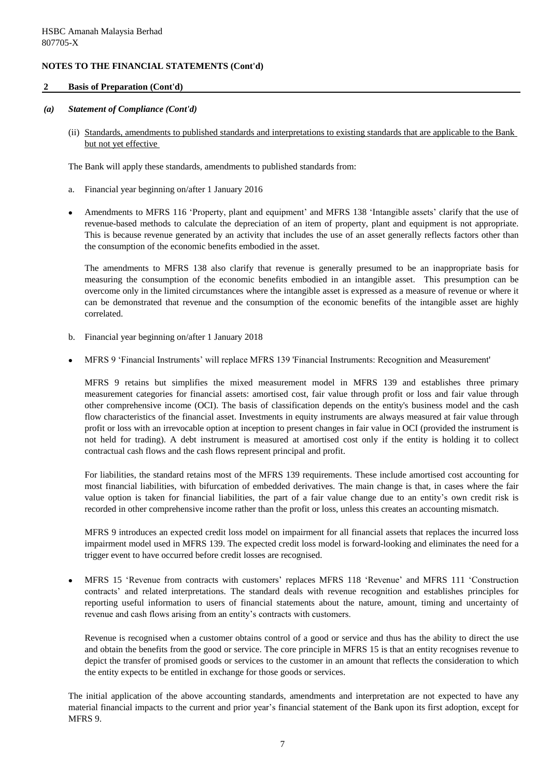### **2 Basis of Preparation (Cont'd)**

### *(a) Statement of Compliance (Cont'd)*

(ii) Standards, amendments to published standards and interpretations to existing standards that are applicable to the Bank but not yet effective

The Bank will apply these standards, amendments to published standards from:

- a. Financial year beginning on/after 1 January 2016
- $\bullet$ Amendments to MFRS 116 'Property, plant and equipment' and MFRS 138 'Intangible assets' clarify that the use of revenue-based methods to calculate the depreciation of an item of property, plant and equipment is not appropriate. This is because revenue generated by an activity that includes the use of an asset generally reflects factors other than the consumption of the economic benefits embodied in the asset.

The amendments to MFRS 138 also clarify that revenue is generally presumed to be an inappropriate basis for measuring the consumption of the economic benefits embodied in an intangible asset. This presumption can be overcome only in the limited circumstances where the intangible asset is expressed as a measure of revenue or where it can be demonstrated that revenue and the consumption of the economic benefits of the intangible asset are highly correlated.

- b. Financial year beginning on/after 1 January 2018
- $\bullet$ MFRS 9 'Financial Instruments' will replace MFRS 139 'Financial Instruments: Recognition and Measurement'

MFRS 9 retains but simplifies the mixed measurement model in MFRS 139 and establishes three primary measurement categories for financial assets: amortised cost, fair value through profit or loss and fair value through other comprehensive income (OCI). The basis of classification depends on the entity's business model and the cash flow characteristics of the financial asset. Investments in equity instruments are always measured at fair value through profit or loss with an irrevocable option at inception to present changes in fair value in OCI (provided the instrument is not held for trading). A debt instrument is measured at amortised cost only if the entity is holding it to collect contractual cash flows and the cash flows represent principal and profit.

For liabilities, the standard retains most of the MFRS 139 requirements. These include amortised cost accounting for most financial liabilities, with bifurcation of embedded derivatives. The main change is that, in cases where the fair value option is taken for financial liabilities, the part of a fair value change due to an entity's own credit risk is recorded in other comprehensive income rather than the profit or loss, unless this creates an accounting mismatch.

MFRS 9 introduces an expected credit loss model on impairment for all financial assets that replaces the incurred loss impairment model used in MFRS 139. The expected credit loss model is forward-looking and eliminates the need for a trigger event to have occurred before credit losses are recognised.

 $\bullet$ MFRS 15 'Revenue from contracts with customers' replaces MFRS 118 'Revenue' and MFRS 111 'Construction contracts' and related interpretations. The standard deals with revenue recognition and establishes principles for reporting useful information to users of financial statements about the nature, amount, timing and uncertainty of revenue and cash flows arising from an entity's contracts with customers.

Revenue is recognised when a customer obtains control of a good or service and thus has the ability to direct the use and obtain the benefits from the good or service. The core principle in MFRS 15 is that an entity recognises revenue to depict the transfer of promised goods or services to the customer in an amount that reflects the consideration to which the entity expects to be entitled in exchange for those goods or services.

The initial application of the above accounting standards, amendments and interpretation are not expected to have any material financial impacts to the current and prior year's financial statement of the Bank upon its first adoption, except for MFRS 9.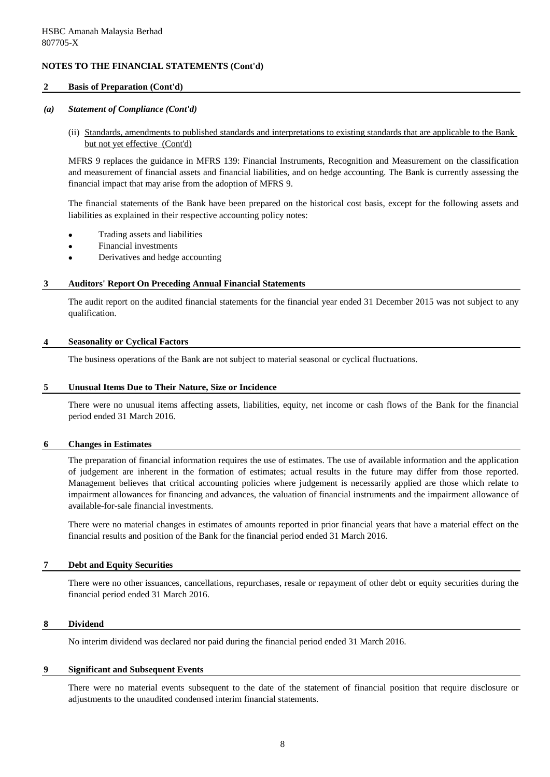### **2 Basis of Preparation (Cont'd)**

### *(a) Statement of Compliance (Cont'd)*

(ii) Standards, amendments to published standards and interpretations to existing standards that are applicable to the Bank but not yet effective (Cont'd)

MFRS 9 replaces the guidance in MFRS 139: Financial Instruments, Recognition and Measurement on the classification and measurement of financial assets and financial liabilities, and on hedge accounting. The Bank is currently assessing the financial impact that may arise from the adoption of MFRS 9.

The financial statements of the Bank have been prepared on the historical cost basis, except for the following assets and liabilities as explained in their respective accounting policy notes:

- Trading assets and liabilities
- Financial investments
- Derivatives and hedge accounting

### **3 Auditors' Report On Preceding Annual Financial Statements**

The audit report on the audited financial statements for the financial year ended 31 December 2015 was not subject to any qualification.

### **4 Seasonality or Cyclical Factors**

The business operations of the Bank are not subject to material seasonal or cyclical fluctuations.

#### **5 Unusual Items Due to Their Nature, Size or Incidence**

There were no unusual items affecting assets, liabilities, equity, net income or cash flows of the Bank for the financial period ended 31 March 2016.

### **6 Changes in Estimates**

The preparation of financial information requires the use of estimates. The use of available information and the application of judgement are inherent in the formation of estimates; actual results in the future may differ from those reported. Management believes that critical accounting policies where judgement is necessarily applied are those which relate to impairment allowances for financing and advances, the valuation of financial instruments and the impairment allowance of available-for-sale financial investments.

There were no material changes in estimates of amounts reported in prior financial years that have a material effect on the financial results and position of the Bank for the financial period ended 31 March 2016.

### **7 Debt and Equity Securities**

There were no other issuances, cancellations, repurchases, resale or repayment of other debt or equity securities during the financial period ended 31 March 2016.

### **8 Dividend**

No interim dividend was declared nor paid during the financial period ended 31 March 2016.

### **9 Significant and Subsequent Events**

There were no material events subsequent to the date of the statement of financial position that require disclosure or adjustments to the unaudited condensed interim financial statements.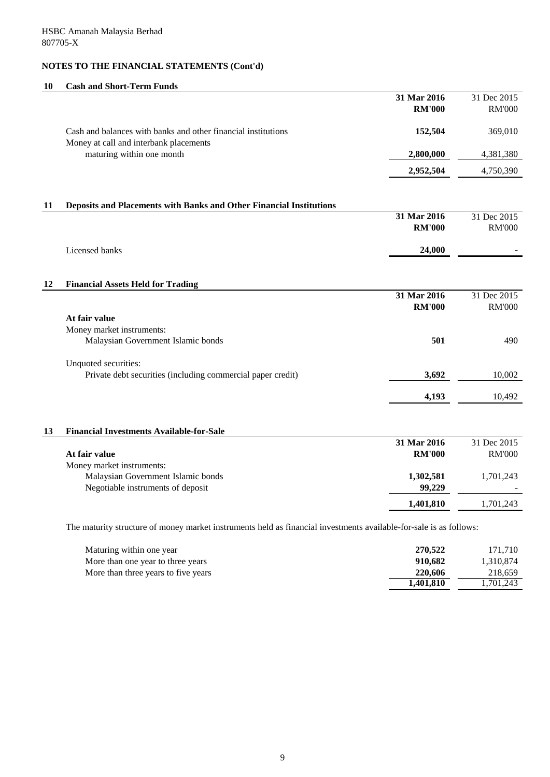# **10 Cash and Short-Term Funds**

|    |                                                                                                                    | 31 Mar 2016<br><b>RM'000</b> | 31 Dec 2015<br><b>RM'000</b> |
|----|--------------------------------------------------------------------------------------------------------------------|------------------------------|------------------------------|
|    | Cash and balances with banks and other financial institutions<br>Money at call and interbank placements            | 152,504                      | 369,010                      |
|    | maturing within one month                                                                                          | 2,800,000                    | 4,381,380                    |
|    |                                                                                                                    | 2,952,504                    | 4,750,390                    |
|    |                                                                                                                    |                              |                              |
| 11 | <b>Deposits and Placements with Banks and Other Financial Institutions</b>                                         | 31 Mar 2016                  | 31 Dec 2015                  |
|    |                                                                                                                    | <b>RM'000</b>                | <b>RM'000</b>                |
|    | Licensed banks                                                                                                     | 24,000                       |                              |
|    |                                                                                                                    |                              |                              |
| 12 | <b>Financial Assets Held for Trading</b>                                                                           | 31 Mar 2016                  | 31 Dec 2015                  |
|    |                                                                                                                    | <b>RM'000</b>                | <b>RM'000</b>                |
|    | At fair value                                                                                                      |                              |                              |
|    | Money market instruments:                                                                                          |                              |                              |
|    | Malaysian Government Islamic bonds                                                                                 | 501                          | 490                          |
|    | Unquoted securities:                                                                                               |                              |                              |
|    | Private debt securities (including commercial paper credit)                                                        | 3,692                        | 10,002                       |
|    |                                                                                                                    | 4,193                        | 10,492                       |
| 13 | <b>Financial Investments Available-for-Sale</b>                                                                    |                              |                              |
|    |                                                                                                                    | 31 Mar 2016                  | 31 Dec 2015                  |
|    | At fair value                                                                                                      | <b>RM'000</b>                | <b>RM'000</b>                |
|    | Money market instruments:                                                                                          |                              |                              |
|    | Malaysian Government Islamic bonds<br>Negotiable instruments of deposit                                            | 1,302,581<br>99,229          | 1,701,243                    |
|    |                                                                                                                    | 1,401,810                    | 1,701,243                    |
|    | The maturity structure of money market instruments held as financial investments available-for-sale is as follows: |                              |                              |
|    |                                                                                                                    |                              |                              |

| 270,522   | 171,710   |
|-----------|-----------|
| 910,682   | 1,310,874 |
| 220,606   | 218,659   |
| 1,401,810 | 1,701,243 |
|           |           |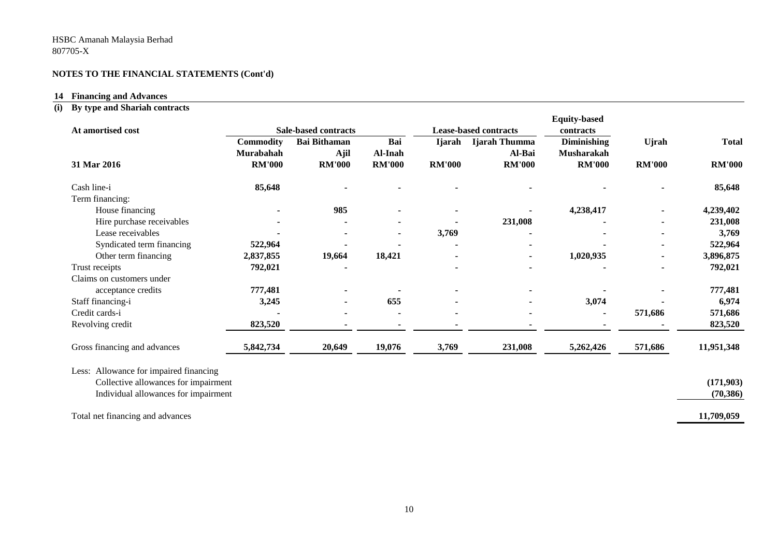#### **14 Financing and Advances**

#### **(i) By type and Shariah contracts**

| At amortised cost                      |                  | <b>Sale-based contracts</b><br><b>Lease-based contracts</b> |               |               |               | <b>Equity-based</b><br>contracts |               |               |
|----------------------------------------|------------------|-------------------------------------------------------------|---------------|---------------|---------------|----------------------------------|---------------|---------------|
|                                        | <b>Commodity</b> | <b>Bai Bithaman</b>                                         | Bai           | <b>Ijarah</b> | Ijarah Thumma | <b>Diminishing</b>               | <b>U</b> jrah | <b>Total</b>  |
|                                        | Murabahah        | Ajil                                                        | Al-Inah       |               | Al-Bai        | <b>Musharakah</b>                |               |               |
| 31 Mar 2016                            | <b>RM'000</b>    | <b>RM'000</b>                                               | <b>RM'000</b> | <b>RM'000</b> | <b>RM'000</b> | <b>RM'000</b>                    | <b>RM'000</b> | <b>RM'000</b> |
| Cash line-i                            | 85,648           |                                                             |               |               |               |                                  |               | 85,648        |
| Term financing:                        |                  |                                                             |               |               |               |                                  |               |               |
| House financing                        |                  | 985                                                         |               |               |               | 4,238,417                        |               | 4,239,402     |
| Hire purchase receivables              |                  |                                                             |               |               | 231,008       |                                  |               | 231,008       |
| Lease receivables                      |                  |                                                             |               | 3,769         |               |                                  |               | 3,769         |
| Syndicated term financing              | 522,964          |                                                             |               |               |               |                                  |               | 522,964       |
| Other term financing                   | 2,837,855        | 19,664                                                      | 18,421        |               |               | 1,020,935                        |               | 3,896,875     |
| Trust receipts                         | 792,021          |                                                             |               |               |               |                                  |               | 792,021       |
| Claims on customers under              |                  |                                                             |               |               |               |                                  |               |               |
| acceptance credits                     | 777,481          |                                                             |               |               |               |                                  |               | 777,481       |
| Staff financing-i                      | 3,245            |                                                             | 655           |               |               | 3,074                            |               | 6,974         |
| Credit cards-i                         |                  |                                                             |               |               |               |                                  | 571,686       | 571,686       |
| Revolving credit                       | 823,520          |                                                             |               |               |               |                                  |               | 823,520       |
| Gross financing and advances           | 5,842,734        | 20,649                                                      | 19,076        | 3,769         | 231,008       | 5,262,426                        | 571,686       | 11,951,348    |
| Less: Allowance for impaired financing |                  |                                                             |               |               |               |                                  |               |               |
| Collective allowances for impairment   |                  |                                                             |               |               |               |                                  |               | (171,903)     |
| Individual allowances for impairment   |                  |                                                             |               |               |               |                                  |               | (70, 386)     |
| Total net financing and advances       |                  |                                                             |               |               |               |                                  |               | 11,709,059    |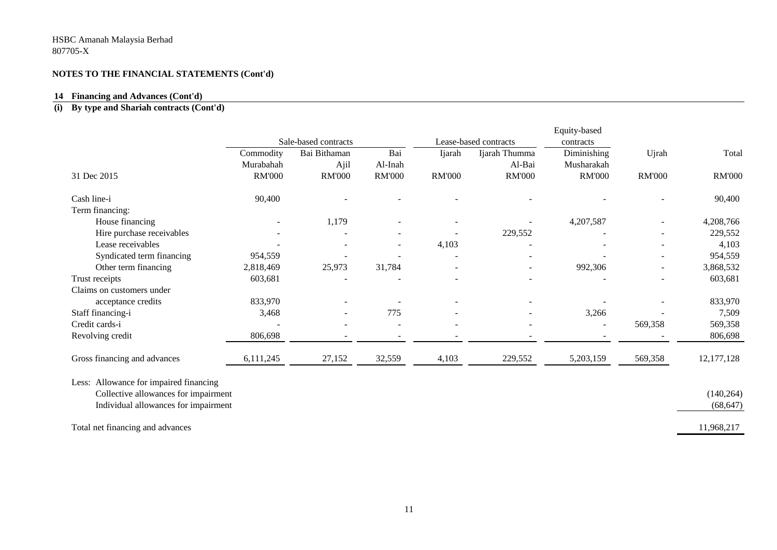#### **14 Financing and Advances (Cont'd)**

#### **(i) By type and Shariah contracts (Cont'd)**

|                                        | Sale-based contracts |                     |               |                          | Lease-based contracts    | Equity-based             |               |               |
|----------------------------------------|----------------------|---------------------|---------------|--------------------------|--------------------------|--------------------------|---------------|---------------|
|                                        | Commodity            | Bai<br>Bai Bithaman |               | Ijarah                   | Ijarah Thumma            | contracts<br>Diminishing | Ujrah         | Total         |
|                                        | Murabahah            | Ajil                | Al-Inah       |                          | Al-Bai                   | Musharakah               |               |               |
| 31 Dec 2015                            | <b>RM'000</b>        | <b>RM'000</b>       | <b>RM'000</b> | <b>RM'000</b>            | <b>RM'000</b>            | <b>RM'000</b>            | <b>RM'000</b> | <b>RM'000</b> |
| Cash line-i                            | 90,400               |                     |               |                          |                          |                          |               | 90,400        |
| Term financing:                        |                      |                     |               |                          |                          |                          |               |               |
| House financing                        |                      | 1,179               |               |                          |                          | 4,207,587                |               | 4,208,766     |
| Hire purchase receivables              |                      |                     |               |                          | 229,552                  |                          |               | 229,552       |
| Lease receivables                      |                      |                     |               | 4,103                    |                          |                          |               | 4,103         |
| Syndicated term financing              | 954,559              |                     |               |                          |                          |                          |               | 954,559       |
| Other term financing                   | 2,818,469            | 25,973              | 31,784        |                          | $\overline{\phantom{a}}$ | 992,306                  |               | 3,868,532     |
| Trust receipts                         | 603,681              |                     |               |                          |                          |                          |               | 603,681       |
| Claims on customers under              |                      |                     |               |                          |                          |                          |               |               |
| acceptance credits                     | 833,970              |                     |               |                          |                          |                          |               | 833,970       |
| Staff financing-i                      | 3,468                |                     | 775           |                          |                          | 3,266                    |               | 7,509         |
| Credit cards-i                         |                      |                     |               | $\overline{\phantom{a}}$ |                          |                          | 569,358       | 569,358       |
| Revolving credit                       | 806,698              |                     |               |                          |                          |                          |               | 806,698       |
| Gross financing and advances           | 6,111,245            | 27,152              | 32,559        | 4,103                    | 229,552                  | 5,203,159                | 569,358       | 12, 177, 128  |
| Less: Allowance for impaired financing |                      |                     |               |                          |                          |                          |               |               |
| Collective allowances for impairment   |                      |                     |               |                          |                          |                          |               | (140, 264)    |
| Individual allowances for impairment   |                      |                     |               |                          |                          |                          |               | (68, 647)     |
| Total net financing and advances       |                      |                     |               |                          |                          |                          |               | 11,968,217    |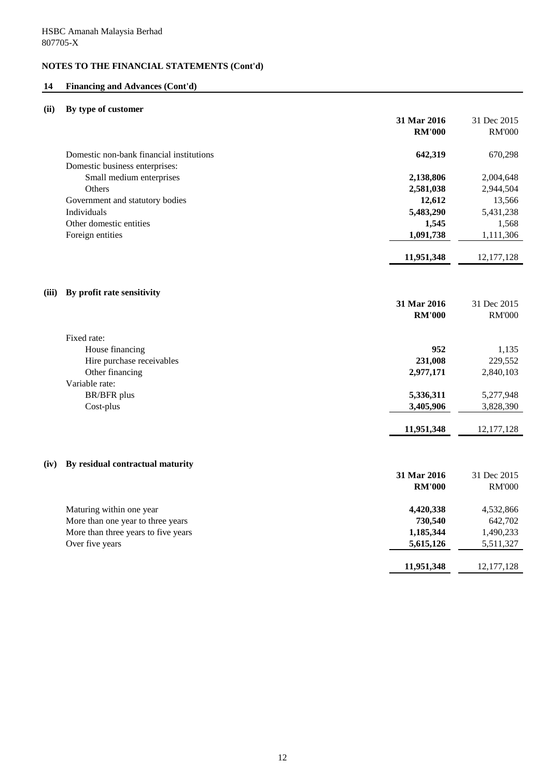## **14 Financing and Advances (Cont'd)**

## **(ii) By type of customer**

|       |                                          | 31 Mar 2016   | 31 Dec 2015   |
|-------|------------------------------------------|---------------|---------------|
|       |                                          | <b>RM'000</b> | <b>RM'000</b> |
|       | Domestic non-bank financial institutions | 642,319       | 670,298       |
|       | Domestic business enterprises:           |               |               |
|       | Small medium enterprises                 | 2,138,806     | 2,004,648     |
|       | Others                                   | 2,581,038     | 2,944,504     |
|       | Government and statutory bodies          | 12,612        | 13,566        |
|       | Individuals                              | 5,483,290     | 5,431,238     |
|       | Other domestic entities                  | 1,545         | 1,568         |
|       | Foreign entities                         | 1,091,738     | 1,111,306     |
|       |                                          | 11,951,348    | 12, 177, 128  |
| (iii) | By profit rate sensitivity               |               |               |
|       |                                          | 31 Mar 2016   | 31 Dec 2015   |
|       |                                          | <b>RM'000</b> | <b>RM'000</b> |
|       | Fixed rate:                              |               |               |
|       | House financing                          | 952           | 1,135         |
|       | Hire purchase receivables                | 231,008       | 229,552       |
|       | Other financing                          | 2,977,171     | 2,840,103     |
|       | Variable rate:                           |               |               |
|       | <b>BR/BFR</b> plus                       | 5,336,311     | 5,277,948     |
|       | Cost-plus                                | 3,405,906     | 3,828,390     |
|       |                                          | 11,951,348    | 12, 177, 128  |
|       |                                          |               |               |
| (iv)  | By residual contractual maturity         |               |               |
|       |                                          | 31 Mar 2016   | 31 Dec 2015   |
|       |                                          | <b>RM'000</b> | <b>RM'000</b> |
|       | Maturing within one year                 | 4,420,338     | 4,532,866     |
|       | More than one year to three years        | 730,540       | 642,702       |
|       | More than three years to five years      | 1,185,344     | 1,490,233     |
|       | Over five years                          | 5,615,126     | 5,511,327     |
|       |                                          | 11,951,348    | 12, 177, 128  |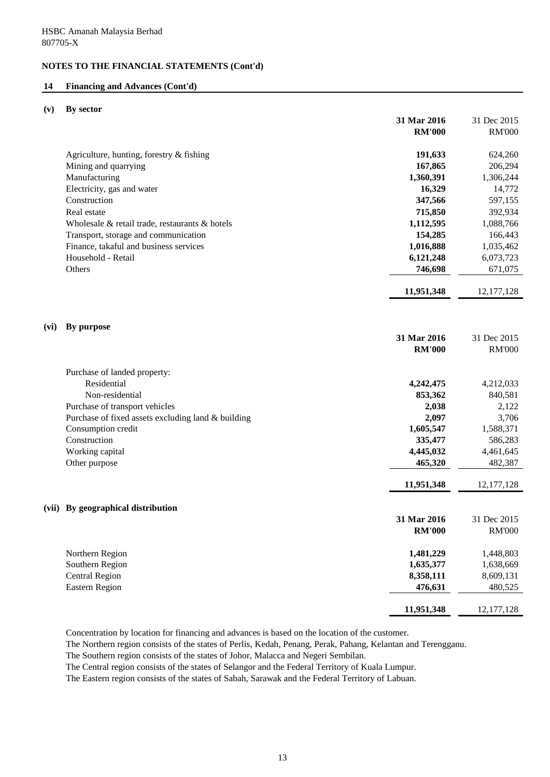### **14 Financing and Advances (Cont'd)**

### **(v) By sector**

|                                                    | 31 Mar 2016   | 31 Dec 2015   |
|----------------------------------------------------|---------------|---------------|
|                                                    | <b>RM'000</b> | <b>RM'000</b> |
|                                                    |               |               |
| Agriculture, hunting, forestry & fishing           | 191,633       | 624,260       |
| Mining and quarrying                               | 167,865       | 206,294       |
| Manufacturing                                      | 1,360,391     | 1,306,244     |
| Electricity, gas and water                         | 16,329        | 14,772        |
| Construction                                       | 347,566       | 597,155       |
| Real estate                                        | 715,850       | 392,934       |
| Wholesale & retail trade, restaurants & hotels     | 1,112,595     | 1,088,766     |
| Transport, storage and communication               | 154,285       | 166,443       |
| Finance, takaful and business services             | 1,016,888     | 1,035,462     |
| Household - Retail                                 | 6,121,248     | 6,073,723     |
| Others                                             | 746,698       | 671,075       |
|                                                    | 11,951,348    | 12, 177, 128  |
|                                                    |               |               |
|                                                    |               |               |
| By purpose<br>(vi)                                 |               |               |
|                                                    | 31 Mar 2016   | 31 Dec 2015   |
|                                                    | <b>RM'000</b> | <b>RM'000</b> |
|                                                    |               |               |
| Purchase of landed property:                       |               |               |
| Residential                                        | 4,242,475     | 4,212,033     |
| Non-residential                                    | 853,362       | 840,581       |
| Purchase of transport vehicles                     | 2,038         | 2,122         |
| Purchase of fixed assets excluding land & building | 2,097         | 3,706         |
| Consumption credit                                 | 1,605,547     | 1,588,371     |
| Construction                                       | 335,477       | 586,283       |
| Working capital                                    | 4,445,032     | 4,461,645     |
| Other purpose                                      | 465,320       | 482,387       |
|                                                    | 11,951,348    | 12, 177, 128  |
|                                                    |               |               |
| By geographical distribution<br>(vii)              |               |               |
|                                                    | 31 Mar 2016   | 31 Dec 2015   |
|                                                    | <b>RM'000</b> | <b>RM'000</b> |
| Northern Region                                    | 1,481,229     | 1,448,803     |
| Southern Region                                    | 1,635,377     | 1,638,669     |
| <b>Central Region</b>                              | 8,358,111     | 8,609,131     |
| <b>Eastern Region</b>                              | 476,631       | 480,525       |
|                                                    |               |               |
|                                                    | 11,951,348    | 12, 177, 128  |

Concentration by location for financing and advances is based on the location of the customer.

The Northern region consists of the states of Perlis, Kedah, Penang, Perak, Pahang, Kelantan and Terengganu.

The Southern region consists of the states of Johor, Malacca and Negeri Sembilan.

The Central region consists of the states of Selangor and the Federal Territory of Kuala Lumpur.

The Eastern region consists of the states of Sabah, Sarawak and the Federal Territory of Labuan.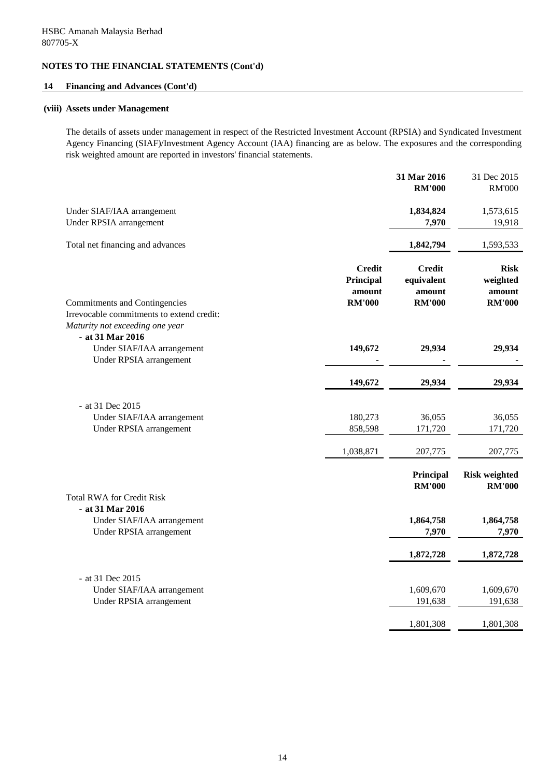### **14 Financing and Advances (Cont'd)**

### **(viii) Assets under Management**

The details of assets under management in respect of the Restricted Investment Account (RPSIA) and Syndicated Investment Agency Financing (SIAF)/Investment Agency Account (IAA) financing are as below. The exposures and the corresponding risk weighted amount are reported in investors' financial statements.

|                                                                                                  |                                                       | 31 Mar 2016<br><b>RM'000</b>                           | 31 Dec 2015<br><b>RM'000</b>                       |
|--------------------------------------------------------------------------------------------------|-------------------------------------------------------|--------------------------------------------------------|----------------------------------------------------|
| Under SIAF/IAA arrangement<br>Under RPSIA arrangement                                            |                                                       | 1,834,824<br>7,970                                     | 1,573,615<br>19,918                                |
| Total net financing and advances                                                                 |                                                       | 1,842,794                                              | 1,593,533                                          |
| <b>Commitments and Contingencies</b>                                                             | <b>Credit</b><br>Principal<br>amount<br><b>RM'000</b> | <b>Credit</b><br>equivalent<br>amount<br><b>RM'000</b> | <b>Risk</b><br>weighted<br>amount<br><b>RM'000</b> |
| Irrevocable commitments to extend credit:<br>Maturity not exceeding one year<br>- at 31 Mar 2016 |                                                       |                                                        |                                                    |
| Under SIAF/IAA arrangement<br>Under RPSIA arrangement                                            | 149,672                                               | 29,934                                                 | 29,934                                             |
|                                                                                                  | 149,672                                               | 29,934                                                 | 29,934                                             |
| - at 31 Dec 2015                                                                                 |                                                       |                                                        |                                                    |
| Under SIAF/IAA arrangement<br>Under RPSIA arrangement                                            | 180,273<br>858,598                                    | 36,055<br>171,720                                      | 36,055<br>171,720                                  |
|                                                                                                  | 1,038,871                                             | 207,775                                                | 207,775                                            |
|                                                                                                  |                                                       | Principal<br><b>RM'000</b>                             | <b>Risk weighted</b><br><b>RM'000</b>              |
| <b>Total RWA for Credit Risk</b><br>- at 31 Mar 2016                                             |                                                       |                                                        |                                                    |
| Under SIAF/IAA arrangement<br>Under RPSIA arrangement                                            |                                                       | 1,864,758<br>7,970                                     | 1,864,758<br>7,970                                 |
|                                                                                                  |                                                       | 1,872,728                                              | 1,872,728                                          |
| - at 31 Dec 2015                                                                                 |                                                       |                                                        |                                                    |
| Under SIAF/IAA arrangement<br>Under RPSIA arrangement                                            |                                                       | 1,609,670<br>191,638                                   | 1,609,670<br>191,638                               |
|                                                                                                  |                                                       | 1,801,308                                              | 1,801,308                                          |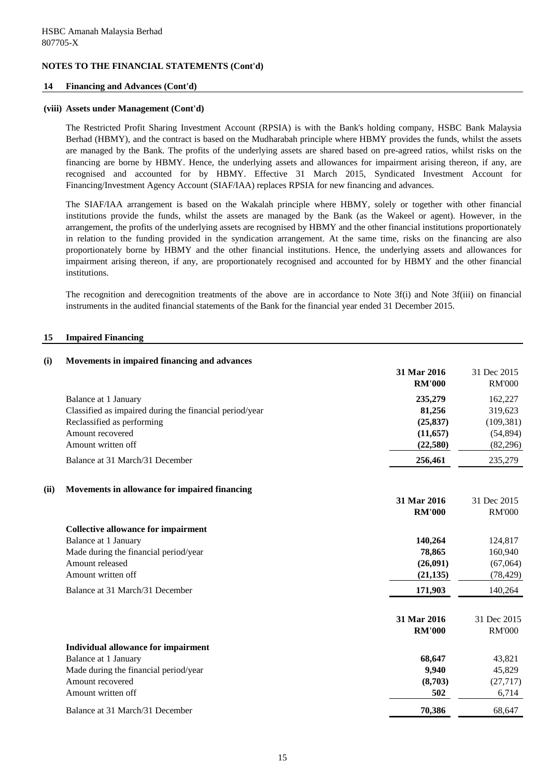### **14 Financing and Advances (Cont'd)**

### **(viii) Assets under Management (Cont'd)**

The Restricted Profit Sharing Investment Account (RPSIA) is with the Bank's holding company, HSBC Bank Malaysia Berhad (HBMY), and the contract is based on the Mudharabah principle where HBMY provides the funds, whilst the assets are managed by the Bank. The profits of the underlying assets are shared based on pre-agreed ratios, whilst risks on the financing are borne by HBMY. Hence, the underlying assets and allowances for impairment arising thereon, if any, are recognised and accounted for by HBMY. Effective 31 March 2015, Syndicated Investment Account for Financing/Investment Agency Account (SIAF/IAA) replaces RPSIA for new financing and advances.

The SIAF/IAA arrangement is based on the Wakalah principle where HBMY, solely or together with other financial institutions provide the funds, whilst the assets are managed by the Bank (as the Wakeel or agent). However, in the arrangement, the profits of the underlying assets are recognised by HBMY and the other financial institutions proportionately in relation to the funding provided in the syndication arrangement. At the same time, risks on the financing are also proportionately borne by HBMY and the other financial institutions. Hence, the underlying assets and allowances for impairment arising thereon, if any, are proportionately recognised and accounted for by HBMY and the other financial institutions.

The recognition and derecognition treatments of the above are in accordance to Note 3f(i) and Note 3f(iii) on financial instruments in the audited financial statements of the Bank for the financial year ended 31 December 2015.

### **15 Impaired Financing**

| (i)  | Movements in impaired financing and advances            |                              |                              |
|------|---------------------------------------------------------|------------------------------|------------------------------|
|      |                                                         | 31 Mar 2016<br><b>RM'000</b> | 31 Dec 2015<br><b>RM'000</b> |
|      | Balance at 1 January                                    | 235,279                      | 162,227                      |
|      | Classified as impaired during the financial period/year | 81,256                       | 319,623                      |
|      | Reclassified as performing                              | (25, 837)                    | (109, 381)                   |
|      | Amount recovered                                        | (11, 657)                    | (54, 894)                    |
|      | Amount written off                                      | (22,580)                     | (82, 296)                    |
|      | Balance at 31 March/31 December                         | 256,461                      | 235,279                      |
| (ii) | Movements in allowance for impaired financing           |                              |                              |
|      |                                                         | 31 Mar 2016                  | 31 Dec 2015                  |
|      |                                                         | <b>RM'000</b>                | <b>RM'000</b>                |
|      | <b>Collective allowance for impairment</b>              |                              |                              |
|      | <b>Balance at 1 January</b>                             | 140,264                      | 124,817                      |
|      | Made during the financial period/year                   | 78,865                       | 160,940                      |
|      | Amount released                                         | (26,091)                     | (67,064)                     |
|      | Amount written off                                      | (21, 135)                    | (78, 429)                    |
|      | Balance at 31 March/31 December                         | 171,903                      | 140,264                      |
|      |                                                         | 31 Mar 2016                  | 31 Dec 2015                  |
|      |                                                         | <b>RM'000</b>                | <b>RM'000</b>                |
|      | <b>Individual allowance for impairment</b>              |                              |                              |
|      | Balance at 1 January                                    | 68,647                       | 43,821                       |
|      | Made during the financial period/year                   | 9,940                        | 45,829                       |
|      | Amount recovered                                        | (8,703)                      | (27, 717)                    |
|      | Amount written off                                      | 502                          | 6,714                        |
|      | Balance at 31 March/31 December                         | 70,386                       | 68,647                       |

15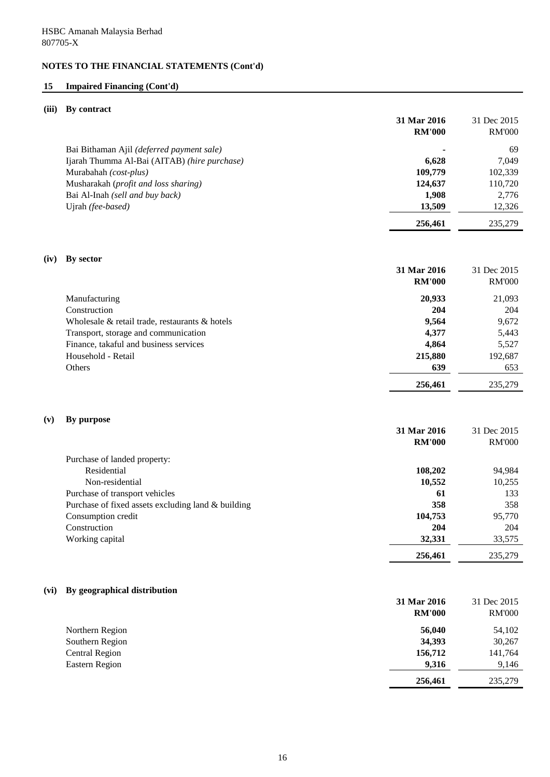## **15 Impaired Financing (Cont'd)**

## **(iii) By contract**

|      |                                                    | 31 Mar 2016<br><b>RM'000</b> | 31 Dec 2015<br><b>RM'000</b> |
|------|----------------------------------------------------|------------------------------|------------------------------|
|      | Bai Bithaman Ajil (deferred payment sale)          |                              | 69                           |
|      | Ijarah Thumma Al-Bai (AITAB) (hire purchase)       | 6,628                        | 7,049                        |
|      | Murabahah (cost-plus)                              | 109,779                      | 102,339                      |
|      | Musharakah (profit and loss sharing)               | 124,637                      | 110,720                      |
|      | Bai Al-Inah (sell and buy back)                    | 1,908                        | 2,776                        |
|      | Ujrah (fee-based)                                  | 13,509                       | 12,326                       |
|      |                                                    | 256,461                      | 235,279                      |
| (iv) | By sector                                          | 31 Mar 2016                  | 31 Dec 2015                  |
|      |                                                    | <b>RM'000</b>                | <b>RM'000</b>                |
|      | Manufacturing                                      | 20,933                       | 21,093                       |
|      | Construction                                       | 204                          | 204                          |
|      | Wholesale & retail trade, restaurants & hotels     | 9,564                        | 9,672                        |
|      | Transport, storage and communication               | 4,377                        | 5,443                        |
|      | Finance, takaful and business services             | 4,864                        | 5,527                        |
|      | Household - Retail                                 | 215,880                      | 192,687                      |
|      | Others                                             | 639                          | 653                          |
|      |                                                    | 256,461                      | 235,279                      |
| (v)  | By purpose                                         | 31 Mar 2016                  | 31 Dec 2015                  |
|      |                                                    | <b>RM'000</b>                | <b>RM'000</b>                |
|      | Purchase of landed property:                       |                              |                              |
|      | Residential                                        | 108,202                      | 94,984                       |
|      | Non-residential                                    | 10,552                       | 10,255                       |
|      | Purchase of transport vehicles                     | 61                           | 133                          |
|      | Purchase of fixed assets excluding land & building | 358                          | 358                          |
|      | Consumption credit                                 | 104,753                      | 95,770                       |
|      | Construction                                       | 204                          | 204                          |
|      | Working capital                                    | 32,331                       | 33,575                       |
|      |                                                    | 256,461                      | 235,279                      |
| (vi) | By geographical distribution                       |                              |                              |
|      |                                                    | 31 Mar 2016                  | 31 Dec 2015                  |
|      |                                                    | <b>RM'000</b>                | <b>RM'000</b>                |
|      | Northern Region                                    | 56,040                       | 54,102                       |
|      | Southern Region                                    | 34,393                       | 30,267                       |
|      | <b>Central Region</b>                              | 156,712                      | 141,764                      |
|      | <b>Eastern Region</b>                              | 9,316                        | 9,146                        |
|      |                                                    | 256,461                      | 235,279                      |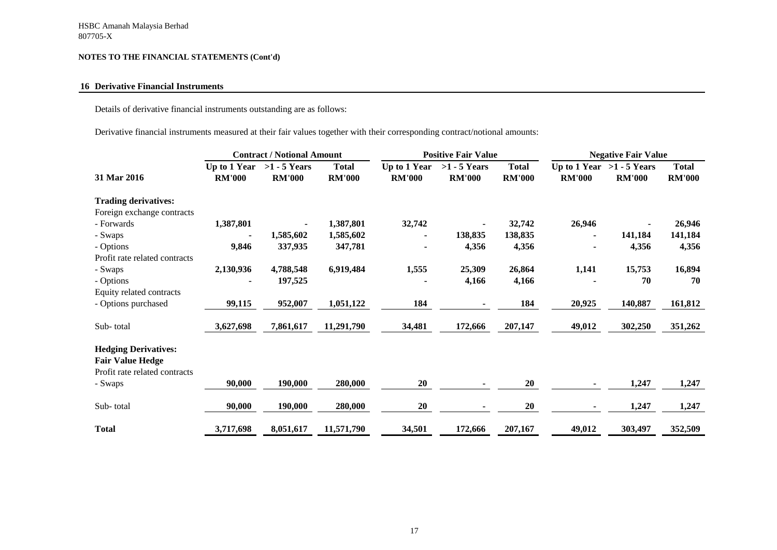## **16 Derivative Financial Instruments**

Details of derivative financial instruments outstanding are as follows:

Derivative financial instruments measured at their fair values together with their corresponding contract/notional amounts:

|                               |                               | <b>Contract / Notional Amount</b> |                               |                               | <b>Positive Fair Value</b>      |                               |                | <b>Negative Fair Value</b>                   |                               |
|-------------------------------|-------------------------------|-----------------------------------|-------------------------------|-------------------------------|---------------------------------|-------------------------------|----------------|----------------------------------------------|-------------------------------|
| 31 Mar 2016                   | Up to 1 Year<br><b>RM'000</b> | $>1 - 5$ Years<br><b>RM'000</b>   | <b>Total</b><br><b>RM'000</b> | Up to 1 Year<br><b>RM'000</b> | $>1 - 5$ Years<br><b>RM'000</b> | <b>Total</b><br><b>RM'000</b> | <b>RM'000</b>  | Up to 1 Year $>1$ - 5 Years<br><b>RM'000</b> | <b>Total</b><br><b>RM'000</b> |
| <b>Trading derivatives:</b>   |                               |                                   |                               |                               |                                 |                               |                |                                              |                               |
| Foreign exchange contracts    |                               |                                   |                               |                               |                                 |                               |                |                                              |                               |
| - Forwards                    | 1,387,801                     |                                   | 1,387,801                     | 32,742                        |                                 | 32,742                        | 26,946         |                                              | 26,946                        |
| - Swaps                       |                               | 1,585,602                         | 1,585,602                     |                               | 138,835                         | 138,835                       |                | 141,184                                      | 141,184                       |
| - Options                     | 9,846                         | 337,935                           | 347,781                       |                               | 4,356                           | 4,356                         |                | 4,356                                        | 4,356                         |
| Profit rate related contracts |                               |                                   |                               |                               |                                 |                               |                |                                              |                               |
| - Swaps                       | 2,130,936                     | 4,788,548                         | 6,919,484                     | 1,555                         | 25,309                          | 26,864                        | 1,141          | 15,753                                       | 16,894                        |
| - Options                     |                               | 197,525                           |                               |                               | 4,166                           | 4,166                         |                | 70                                           | 70                            |
| Equity related contracts      |                               |                                   |                               |                               |                                 |                               |                |                                              |                               |
| - Options purchased           | 99,115                        | 952,007                           | 1,051,122                     | 184                           |                                 | 184                           | 20,925         | 140,887                                      | 161,812                       |
| Sub-total                     | 3,627,698                     | 7,861,617                         | 11,291,790                    | 34,481                        | 172,666                         | 207,147                       | 49,012         | 302,250                                      | 351,262                       |
| <b>Hedging Derivatives:</b>   |                               |                                   |                               |                               |                                 |                               |                |                                              |                               |
| <b>Fair Value Hedge</b>       |                               |                                   |                               |                               |                                 |                               |                |                                              |                               |
| Profit rate related contracts |                               |                                   |                               |                               |                                 |                               |                |                                              |                               |
| - Swaps                       | 90,000                        | 190,000                           | 280,000                       | 20                            |                                 | 20                            | $\blacksquare$ | 1,247                                        | 1,247                         |
| Sub-total                     | 90,000                        | 190,000                           | 280,000                       | 20                            |                                 | 20                            | $\blacksquare$ | 1,247                                        | 1,247                         |
| <b>Total</b>                  | 3,717,698                     | 8,051,617                         | 11,571,790                    | 34,501                        | 172,666                         | 207,167                       | 49,012         | 303,497                                      | 352,509                       |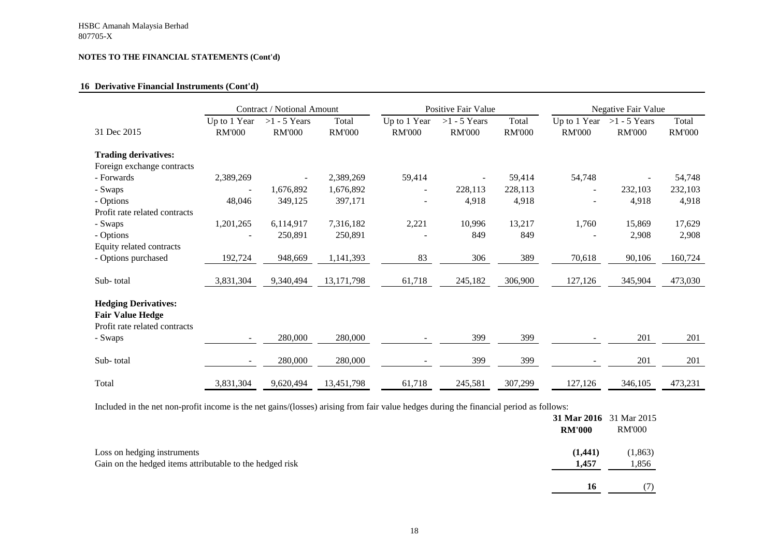## **16 Derivative Financial Instruments (Cont'd)**

|                                                                                         |                               | Contract / Notional Amount      |                        | <b>Positive Fair Value</b>    |                                 |                        | <b>Negative Fair Value</b>    |                                 |                        |
|-----------------------------------------------------------------------------------------|-------------------------------|---------------------------------|------------------------|-------------------------------|---------------------------------|------------------------|-------------------------------|---------------------------------|------------------------|
| 31 Dec 2015                                                                             | Up to 1 Year<br><b>RM'000</b> | $>1 - 5$ Years<br><b>RM'000</b> | Total<br><b>RM'000</b> | Up to 1 Year<br><b>RM'000</b> | $>1 - 5$ Years<br><b>RM'000</b> | Total<br><b>RM'000</b> | Up to 1 Year<br><b>RM'000</b> | $>1 - 5$ Years<br><b>RM'000</b> | Total<br><b>RM'000</b> |
| <b>Trading derivatives:</b>                                                             |                               |                                 |                        |                               |                                 |                        |                               |                                 |                        |
| Foreign exchange contracts                                                              |                               |                                 |                        |                               |                                 |                        |                               |                                 |                        |
| - Forwards                                                                              | 2,389,269                     |                                 | 2,389,269              | 59,414                        |                                 | 59,414                 | 54,748                        |                                 | 54,748                 |
| - Swaps                                                                                 |                               | 1,676,892                       | 1,676,892              | $\overline{\phantom{0}}$      | 228,113                         | 228,113                | $\overline{\phantom{a}}$      | 232,103                         | 232,103                |
| - Options                                                                               | 48,046                        | 349,125                         | 397,171                | $\overline{\phantom{a}}$      | 4,918                           | 4,918                  |                               | 4,918                           | 4,918                  |
| Profit rate related contracts                                                           |                               |                                 |                        |                               |                                 |                        |                               |                                 |                        |
| - Swaps                                                                                 | 1,201,265                     | 6,114,917                       | 7,316,182              | 2,221                         | 10,996                          | 13,217                 | 1,760                         | 15,869                          | 17,629                 |
| - Options                                                                               |                               | 250,891                         | 250,891                |                               | 849                             | 849                    |                               | 2,908                           | 2,908                  |
| Equity related contracts                                                                |                               |                                 |                        |                               |                                 |                        |                               |                                 |                        |
| - Options purchased                                                                     | 192,724                       | 948,669                         | 1,141,393              | 83                            | 306                             | 389                    | 70,618                        | 90,106                          | 160,724                |
| Sub-total                                                                               | 3,831,304                     | 9,340,494                       | 13, 171, 798           | 61,718                        | 245,182                         | 306,900                | 127,126                       | 345,904                         | 473,030                |
|                                                                                         |                               |                                 |                        |                               |                                 |                        |                               |                                 |                        |
| <b>Hedging Derivatives:</b><br><b>Fair Value Hedge</b><br>Profit rate related contracts |                               |                                 |                        |                               |                                 |                        |                               |                                 |                        |
| - Swaps                                                                                 |                               | 280,000                         | 280,000                |                               | 399                             | 399                    |                               | 201                             | 201                    |
| Sub-total                                                                               |                               | 280,000                         | 280,000                |                               | 399                             | 399                    |                               | 201                             | 201                    |
| Total                                                                                   | 3,831,304                     | 9,620,494                       | 13,451,798             | 61,718                        | 245,581                         | 307,299                | 127,126                       | 346,105                         | 473,231                |

Included in the net non-profit income is the net gains/(losses) arising from fair value hedges during the financial period as follows:

|                                                                                         | <b>RM'000</b>    | <b>31 Mar 2016</b> 31 Mar 2015<br><b>RM'000</b> |
|-----------------------------------------------------------------------------------------|------------------|-------------------------------------------------|
| Loss on hedging instruments<br>Gain on the hedged items attributable to the hedged risk | (1,441)<br>1,457 | (1, 863)<br>1,856                               |
|                                                                                         | 16               |                                                 |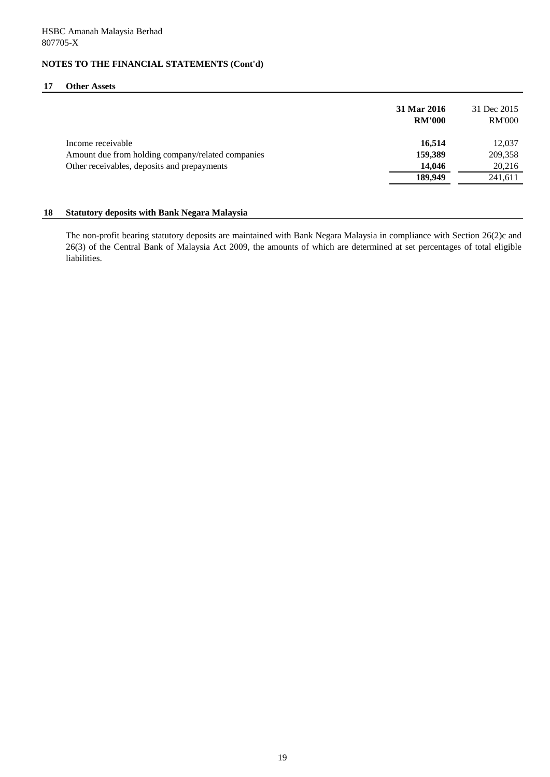### **17 Other Assets**

|                                                   | 31 Mar 2016<br><b>RM'000</b> | 31 Dec 2015<br><b>RM'000</b> |
|---------------------------------------------------|------------------------------|------------------------------|
| Income receivable                                 | 16,514                       | 12,037                       |
| Amount due from holding company/related companies | 159,389                      | 209,358                      |
| Other receivables, deposits and prepayments       | 14,046                       | 20,216                       |
|                                                   | 189,949                      | 241,611                      |

### **18 Statutory deposits with Bank Negara Malaysia**

The non-profit bearing statutory deposits are maintained with Bank Negara Malaysia in compliance with Section 26(2)c and 26(3) of the Central Bank of Malaysia Act 2009, the amounts of which are determined at set percentages of total eligible liabilities.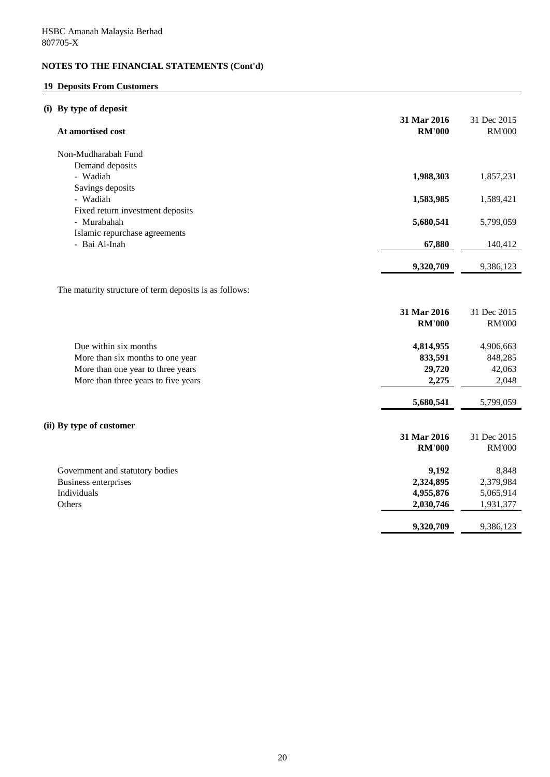# **19 Deposits From Customers**

# **(i) By type of deposit**

| At amortised cost                                      | 31 Mar 2016<br><b>RM'000</b> | 31 Dec 2015<br><b>RM'000</b> |
|--------------------------------------------------------|------------------------------|------------------------------|
| Non-Mudharabah Fund                                    |                              |                              |
| Demand deposits                                        |                              |                              |
| - Wadiah                                               | 1,988,303                    | 1,857,231                    |
| Savings deposits                                       |                              |                              |
| - Wadiah                                               | 1,583,985                    | 1,589,421                    |
| Fixed return investment deposits                       |                              |                              |
| - Murabahah<br>Islamic repurchase agreements           | 5,680,541                    | 5,799,059                    |
| - Bai Al-Inah                                          | 67,880                       | 140,412                      |
|                                                        | 9,320,709                    | 9,386,123                    |
|                                                        |                              |                              |
| The maturity structure of term deposits is as follows: |                              |                              |
|                                                        | 31 Mar 2016<br><b>RM'000</b> | 31 Dec 2015<br><b>RM'000</b> |
| Due within six months                                  | 4,814,955                    | 4,906,663                    |
| More than six months to one year                       | 833,591                      | 848,285                      |
| More than one year to three years                      | 29,720                       | 42,063                       |
| More than three years to five years                    | 2,275                        | 2,048                        |
|                                                        | 5,680,541                    | 5,799,059                    |
| (ii) By type of customer                               |                              |                              |
|                                                        | 31 Mar 2016                  | 31 Dec 2015                  |
|                                                        | <b>RM'000</b>                | <b>RM'000</b>                |
| Government and statutory bodies                        | 9,192                        | 8,848                        |
| <b>Business enterprises</b>                            | 2,324,895                    | 2,379,984                    |
| Individuals                                            | 4,955,876                    | 5,065,914                    |
| Others                                                 | 2,030,746                    | 1,931,377                    |
|                                                        | 9,320,709                    | 9,386,123                    |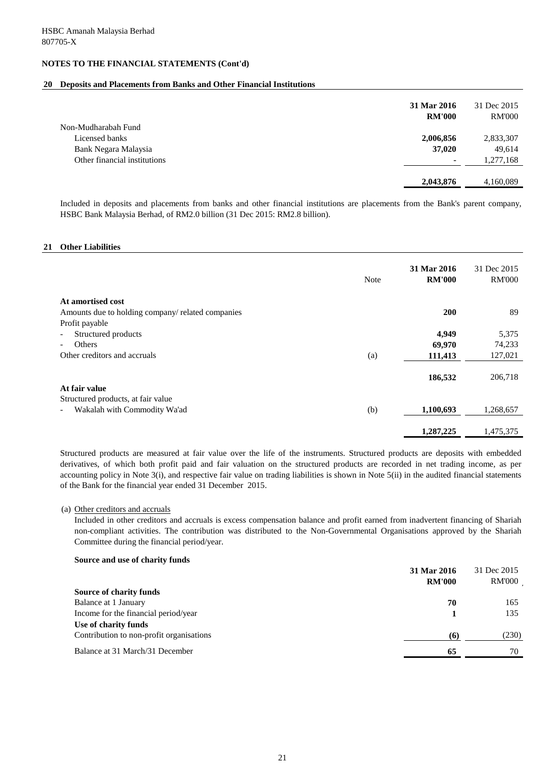### **20 Deposits and Placements from Banks and Other Financial Institutions**

|                              | 31 Mar 2016<br><b>RM'000</b> | 31 Dec 2015<br><b>RM'000</b> |
|------------------------------|------------------------------|------------------------------|
| Non-Mudharabah Fund          |                              |                              |
| Licensed banks               | 2,006,856                    | 2,833,307                    |
| Bank Negara Malaysia         | 37,020                       | 49,614                       |
| Other financial institutions | $\blacksquare$               | 1,277,168                    |
|                              | 2,043,876                    | 4,160,089                    |

Included in deposits and placements from banks and other financial institutions are placements from the Bank's parent company, HSBC Bank Malaysia Berhad, of RM2.0 billion (31 Dec 2015: RM2.8 billion).

#### **21 Other Liabilities**

|                                                   | <b>Note</b> | 31 Mar 2016<br><b>RM'000</b> | 31 Dec 2015<br><b>RM'000</b> |
|---------------------------------------------------|-------------|------------------------------|------------------------------|
| At amortised cost                                 |             |                              |                              |
| Amounts due to holding company/ related companies |             | 200                          | 89                           |
| Profit payable                                    |             |                              |                              |
| Structured products<br>$\overline{\phantom{a}}$   |             | 4,949                        | 5,375                        |
| Others<br>$\overline{\phantom{a}}$                |             | 69,970                       | 74,233                       |
| Other creditors and accruals                      | (a)         | 111,413                      | 127,021                      |
|                                                   |             | 186,532                      | 206,718                      |
| At fair value                                     |             |                              |                              |
| Structured products, at fair value                |             |                              |                              |
| Wakalah with Commodity Wa'ad                      | (b)         | 1,100,693                    | 1,268,657                    |
|                                                   |             | 1,287,225                    | 1,475,375                    |

Structured products are measured at fair value over the life of the instruments. Structured products are deposits with embedded derivatives, of which both profit paid and fair valuation on the structured products are recorded in net trading income, as per accounting policy in Note 3(i), and respective fair value on trading liabilities is shown in Note 5(ii) in the audited financial statements of the Bank for the financial year ended 31 December 2015.

#### (a) Other creditors and accruals

Included in other creditors and accruals is excess compensation balance and profit earned from inadvertent financing of Shariah non-compliant activities. The contribution was distributed to the Non-Governmental Organisations approved by the Shariah Committee during the financial period/year.

#### **Source and use of charity funds**

|                                          | 31 Mar 2016   | 31 Dec 2015   |
|------------------------------------------|---------------|---------------|
|                                          | <b>RM'000</b> | <b>RM'000</b> |
| <b>Source of charity funds</b>           |               |               |
| Balance at 1 January                     | 70            | 165           |
| Income for the financial period/year     |               | 135           |
| Use of charity funds                     |               |               |
| Contribution to non-profit organisations | (6)           | (230)         |
| Balance at 31 March/31 December          | 65            | 70            |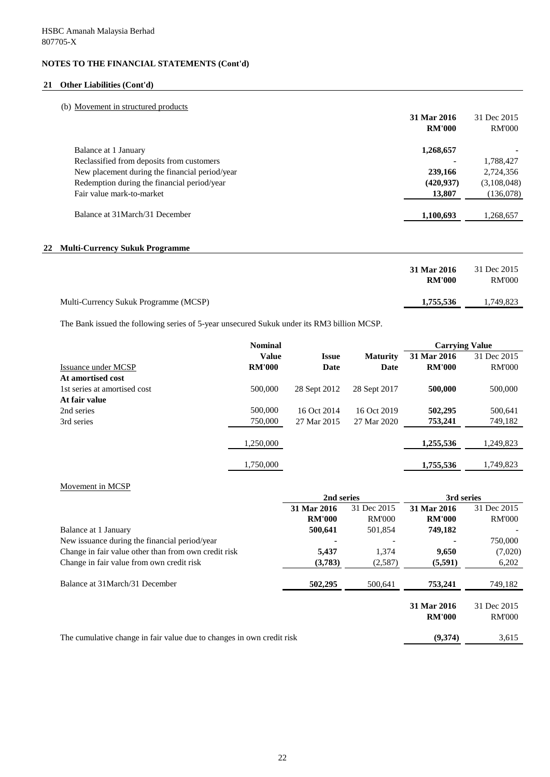## **21 Other Liabilities (Cont'd)**

## (b) Movement in structured products

|                                                | 31 Mar 2016   | 31 Dec 2015   |
|------------------------------------------------|---------------|---------------|
|                                                | <b>RM'000</b> | <b>RM'000</b> |
| Balance at 1 January                           | 1,268,657     |               |
| Reclassified from deposits from customers      |               | 1,788,427     |
| New placement during the financial period/year | 239,166       | 2,724,356     |
| Redemption during the financial period/year    | (420, 937)    | (3,108,048)   |
| Fair value mark-to-market                      | 13,807        | (136,078)     |
| Balance at 31 March/31 December                | 1,100,693     | 1,268,657     |

## **22 Multi-Currency Sukuk Programme**

|                                       | 31 Mar 2016<br><b>RM'000</b> | 31 Dec 2015<br><b>RM'000</b> |
|---------------------------------------|------------------------------|------------------------------|
| Multi-Currency Sukuk Programme (MCSP) | 1,755,536                    | 1,749,823                    |

The Bank issued the following series of 5-year unsecured Sukuk under its RM3 billion MCSP.

|                              | <b>Nominal</b> |                     |                 | <b>Carrying Value</b> |               |
|------------------------------|----------------|---------------------|-----------------|-----------------------|---------------|
|                              | <b>Value</b>   | <i><b>Issue</b></i> | <b>Maturity</b> | 31 Mar 2016           | 31 Dec 2015   |
| Issuance under MCSP          | <b>RM'000</b>  | Date                | Date            | <b>RM'000</b>         | <b>RM'000</b> |
| At amortised cost            |                |                     |                 |                       |               |
| 1st series at amortised cost | 500,000        | 28 Sept 2012        | 28 Sept 2017    | 500,000               | 500,000       |
| At fair value                |                |                     |                 |                       |               |
| 2nd series                   | 500,000        | 16 Oct 2014         | 16 Oct 2019     | 502,295               | 500,641       |
| 3rd series                   | 750,000        | 27 Mar 2015         | 27 Mar 2020     | 753,241               | 749,182       |
|                              |                |                     |                 |                       |               |
|                              | 1,250,000      |                     |                 | 1,255,536             | 1,249,823     |
|                              |                |                     |                 |                       |               |
|                              | 1,750,000      |                     |                 | 1,755,536             | 1,749,823     |

### Movement in MCSP

|                                                                       | 2nd series    |               | 3rd series    |               |
|-----------------------------------------------------------------------|---------------|---------------|---------------|---------------|
|                                                                       | 31 Mar 2016   | 31 Dec 2015   | 31 Mar 2016   | 31 Dec 2015   |
|                                                                       | <b>RM'000</b> | <b>RM'000</b> | <b>RM'000</b> | <b>RM'000</b> |
| Balance at 1 January                                                  | 500,641       | 501,854       | 749,182       |               |
| New issuance during the financial period/year                         |               |               |               | 750,000       |
| Change in fair value other than from own credit risk                  | 5,437         | 1,374         | 9,650         | (7,020)       |
| Change in fair value from own credit risk                             | (3,783)       | (2,587)       | (5,591)       | 6,202         |
| Balance at 31 March/31 December                                       | 502,295       | 500,641       | 753,241       | 749,182       |
|                                                                       |               |               | 31 Mar 2016   | 31 Dec 2015   |
|                                                                       |               |               | <b>RM'000</b> | <b>RM'000</b> |
| The cumulative change in fair value due to changes in own credit risk |               |               | (9,374)       | 3,615         |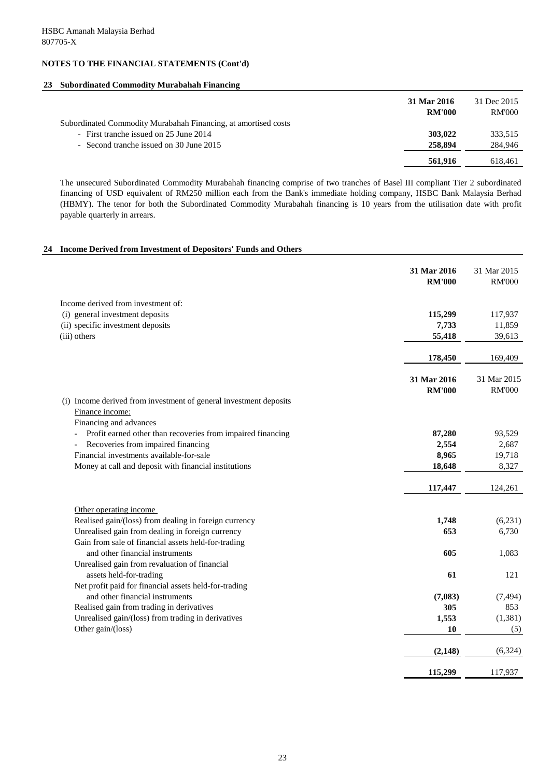## **23 Subordinated Commodity Murabahah Financing**

|                                                                | 31 Mar 2016<br><b>RM'000</b> | 31 Dec 2015<br><b>RM'000</b> |
|----------------------------------------------------------------|------------------------------|------------------------------|
| Subordinated Commodity Murabahah Financing, at amortised costs |                              |                              |
| - First tranche issued on 25 June 2014                         | 303,022                      | 333,515                      |
| - Second tranche issued on 30 June 2015                        | 258,894                      | 284,946                      |
|                                                                | 561,916                      | 618,461                      |

The unsecured Subordinated Commodity Murabahah financing comprise of two tranches of Basel III compliant Tier 2 subordinated financing of USD equivalent of RM250 million each from the Bank's immediate holding company, HSBC Bank Malaysia Berhad (HBMY). The tenor for both the Subordinated Commodity Murabahah financing is 10 years from the utilisation date with profit payable quarterly in arrears.

## **24 Income Derived from Investment of Depositors' Funds and Others**

|                                                                                                                | 31 Mar 2016<br><b>RM'000</b> | 31 Mar 2015<br><b>RM'000</b> |
|----------------------------------------------------------------------------------------------------------------|------------------------------|------------------------------|
| Income derived from investment of:                                                                             |                              |                              |
| (i) general investment deposits                                                                                | 115,299                      | 117,937                      |
| (ii) specific investment deposits                                                                              | 7,733                        | 11,859                       |
| (iii) others                                                                                                   | 55,418                       | 39,613                       |
|                                                                                                                | 178,450                      | 169,409                      |
|                                                                                                                | 31 Mar 2016                  | 31 Mar 2015                  |
|                                                                                                                | <b>RM'000</b>                | <b>RM'000</b>                |
| (i) Income derived from investment of general investment deposits<br>Finance income:<br>Financing and advances |                              |                              |
| Profit earned other than recoveries from impaired financing                                                    | 87,280                       | 93,529                       |
| Recoveries from impaired financing                                                                             | 2,554                        | 2,687                        |
| Financial investments available-for-sale                                                                       | 8,965                        | 19,718                       |
| Money at call and deposit with financial institutions                                                          | 18,648                       | 8,327                        |
|                                                                                                                | 117,447                      | 124,261                      |
| Other operating income                                                                                         |                              |                              |
| Realised gain/(loss) from dealing in foreign currency                                                          | 1,748                        | (6,231)                      |
| Unrealised gain from dealing in foreign currency                                                               | 653                          | 6,730                        |
| Gain from sale of financial assets held-for-trading                                                            |                              |                              |
| and other financial instruments                                                                                | 605                          | 1,083                        |
| Unrealised gain from revaluation of financial<br>assets held-for-trading                                       | 61                           | 121                          |
| Net profit paid for financial assets held-for-trading                                                          |                              |                              |
| and other financial instruments                                                                                | (7,083)                      | (7, 494)                     |
| Realised gain from trading in derivatives                                                                      | 305                          | 853                          |
| Unrealised gain/(loss) from trading in derivatives                                                             | 1,553                        | (1,381)                      |
| Other gain/(loss)                                                                                              | <b>10</b>                    | (5)                          |
|                                                                                                                | (2,148)                      | (6,324)                      |
|                                                                                                                | 115,299                      | 117,937                      |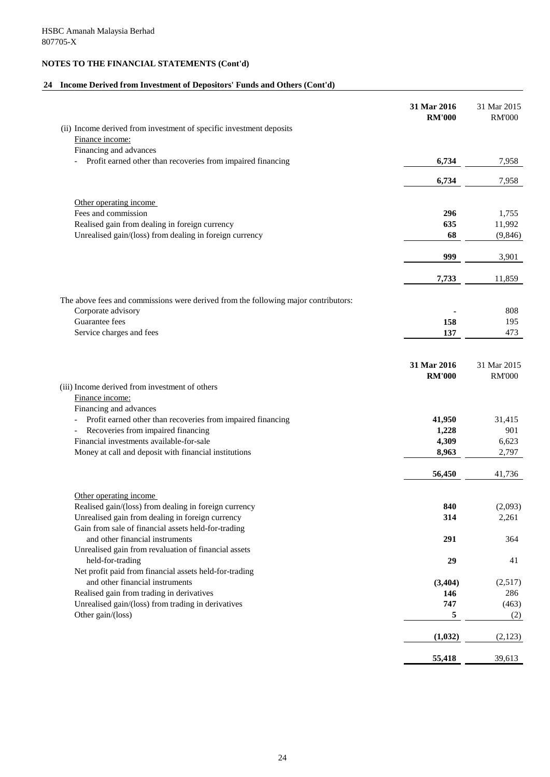# **24 Income Derived from Investment of Depositors' Funds and Others (Cont'd)**

|                                                                                         | 31 Mar 2016<br><b>RM'000</b> | 31 Mar 2015<br><b>RM'000</b> |
|-----------------------------------------------------------------------------------------|------------------------------|------------------------------|
| (ii) Income derived from investment of specific investment deposits                     |                              |                              |
| Finance income:                                                                         |                              |                              |
| Financing and advances                                                                  |                              |                              |
| Profit earned other than recoveries from impaired financing                             | 6,734                        | 7,958                        |
|                                                                                         | 6,734                        | 7,958                        |
| Other operating income                                                                  |                              |                              |
| Fees and commission                                                                     | 296                          | 1,755                        |
| Realised gain from dealing in foreign currency                                          | 635                          | 11,992                       |
| Unrealised gain/(loss) from dealing in foreign currency                                 | 68                           | (9,846)                      |
|                                                                                         | 999                          | 3,901                        |
|                                                                                         | 7,733                        | 11,859                       |
| The above fees and commissions were derived from the following major contributors:      |                              |                              |
| Corporate advisory                                                                      |                              | 808                          |
| Guarantee fees                                                                          | 158                          | 195                          |
| Service charges and fees                                                                | 137                          | 473                          |
|                                                                                         | 31 Mar 2016                  | 31 Mar 2015                  |
|                                                                                         | <b>RM'000</b>                | <b>RM'000</b>                |
| (iii) Income derived from investment of others                                          |                              |                              |
| Finance income:<br>Financing and advances                                               |                              |                              |
| Profit earned other than recoveries from impaired financing                             | 41,950                       | 31,415                       |
| Recoveries from impaired financing                                                      | 1,228                        | 901                          |
| Financial investments available-for-sale                                                | 4,309                        | 6,623                        |
| Money at call and deposit with financial institutions                                   | 8,963                        | 2,797                        |
|                                                                                         | 56,450                       | 41,736                       |
|                                                                                         |                              |                              |
| Other operating income                                                                  |                              |                              |
| Realised gain/(loss) from dealing in foreign currency                                   | 840                          | (2,093)                      |
| Unrealised gain from dealing in foreign currency                                        | 314                          | 2,261                        |
| Gain from sale of financial assets held-for-trading                                     |                              |                              |
| and other financial instruments<br>Unrealised gain from revaluation of financial assets | 291                          | 364                          |
| held-for-trading                                                                        | 29                           | 41                           |
| Net profit paid from financial assets held-for-trading                                  |                              |                              |
| and other financial instruments                                                         | (3,404)                      | (2,517)                      |
| Realised gain from trading in derivatives                                               | 146                          | 286                          |
| Unrealised gain/(loss) from trading in derivatives                                      | 747                          | (463)                        |
| Other gain/(loss)                                                                       | 5                            | (2)                          |
|                                                                                         | (1,032)                      | (2,123)                      |
|                                                                                         | 55,418                       | 39,613                       |
|                                                                                         |                              |                              |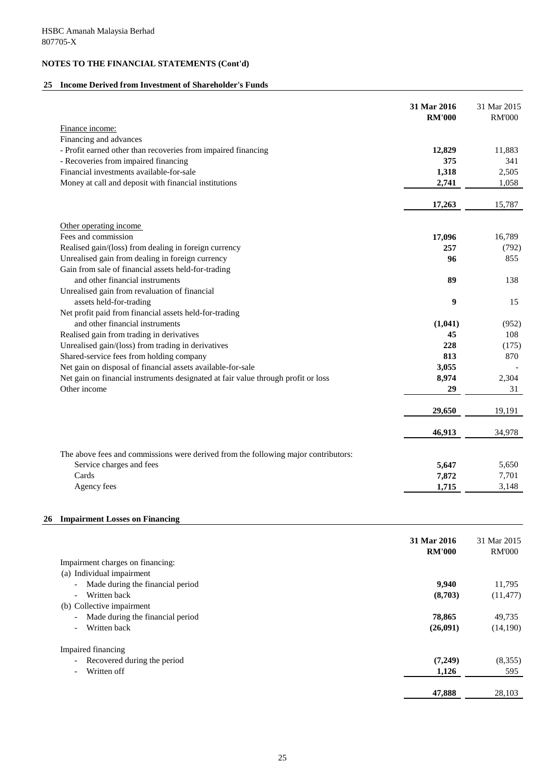## **25 Income Derived from Investment of Shareholder's Funds**

|                                                                                    | 31 Mar 2016<br><b>RM'000</b> | 31 Mar 2015<br><b>RM'000</b> |
|------------------------------------------------------------------------------------|------------------------------|------------------------------|
| Finance income:                                                                    |                              |                              |
| Financing and advances                                                             |                              |                              |
| - Profit earned other than recoveries from impaired financing                      | 12,829                       | 11,883                       |
| - Recoveries from impaired financing                                               | 375                          | 341                          |
| Financial investments available-for-sale                                           | 1,318                        | 2,505                        |
| Money at call and deposit with financial institutions                              | 2,741                        | 1,058                        |
|                                                                                    | 17,263                       | 15,787                       |
|                                                                                    |                              |                              |
| Other operating income                                                             |                              |                              |
| Fees and commission                                                                | 17,096                       | 16,789                       |
| Realised gain/(loss) from dealing in foreign currency                              | 257                          | (792)                        |
| Unrealised gain from dealing in foreign currency                                   | 96                           | 855                          |
| Gain from sale of financial assets held-for-trading                                |                              |                              |
| and other financial instruments                                                    | 89                           | 138                          |
| Unrealised gain from revaluation of financial                                      |                              |                              |
| assets held-for-trading                                                            | 9                            | 15                           |
| Net profit paid from financial assets held-for-trading                             |                              |                              |
| and other financial instruments                                                    | (1,041)                      | (952)                        |
| Realised gain from trading in derivatives                                          | 45                           | 108                          |
| Unrealised gain/(loss) from trading in derivatives                                 | 228                          | (175)                        |
| Shared-service fees from holding company                                           | 813                          | 870                          |
| Net gain on disposal of financial assets available-for-sale                        | 3,055                        |                              |
| Net gain on financial instruments designated at fair value through profit or loss  | 8,974                        | 2,304                        |
| Other income                                                                       | 29                           | 31                           |
|                                                                                    | 29,650                       | 19,191                       |
|                                                                                    | 46,913                       | 34,978                       |
| The above fees and commissions were derived from the following major contributors: |                              |                              |
| Service charges and fees                                                           | 5,647                        | 5,650                        |
| Cards                                                                              | 7,872                        | 7,701                        |
| Agency fees                                                                        | 1,715                        | 3,148                        |
|                                                                                    |                              |                              |

# **26 Impairment Losses on Financing**

|                                                              | 31 Mar 2016<br><b>RM'000</b> | 31 Mar 2015<br><b>RM'000</b> |
|--------------------------------------------------------------|------------------------------|------------------------------|
| Impairment charges on financing:                             |                              |                              |
| Individual impairment<br>(a)                                 |                              |                              |
| Made during the financial period<br>$\blacksquare$           | 9,940                        | 11,795                       |
| Written back<br>$\overline{a}$                               | (8,703)                      | (11, 477)                    |
| (b) Collective impairment                                    |                              |                              |
| Made during the financial period<br>$\overline{\phantom{a}}$ | 78,865                       | 49,735                       |
| Written back<br>$\overline{\phantom{0}}$                     | (26,091)                     | (14,190)                     |
| <b>Impaired financing</b>                                    |                              |                              |
| Recovered during the period<br>$\overline{\phantom{a}}$      | (7,249)                      | (8,355)                      |
| Written off<br>$\overline{\phantom{0}}$                      | 1,126                        | 595                          |
|                                                              | 47,888                       | 28,103                       |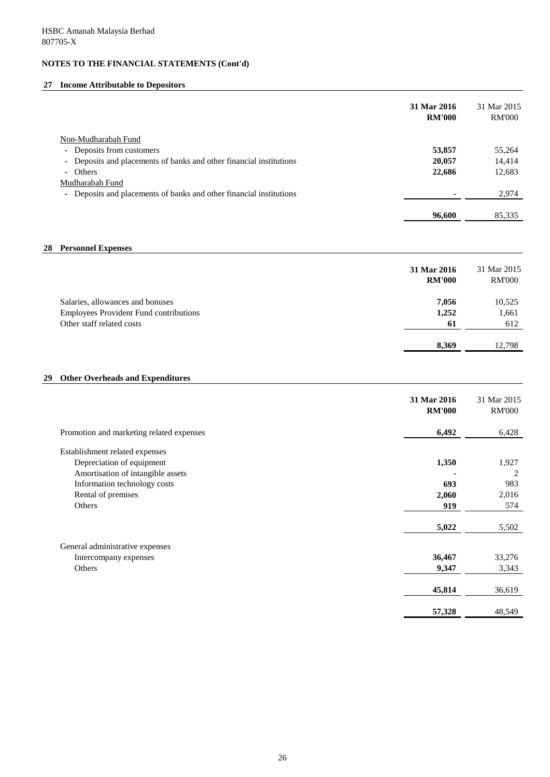## **27 Income Attributable to Depositors**

|                                                                     | 31 Mar 2016<br><b>RM'000</b> | 31 Mar 2015<br><b>RM'000</b> |
|---------------------------------------------------------------------|------------------------------|------------------------------|
| Non-Mudharabah Fund                                                 |                              |                              |
| Deposits from customers<br>$\sim$                                   | 53,857                       | 55,264                       |
| - Deposits and placements of banks and other financial institutions | 20,057                       | 14,414                       |
| - Others                                                            | 22,686                       | 12,683                       |
| Mudharabah Fund                                                     |                              |                              |
| - Deposits and placements of banks and other financial institutions |                              | 2,974                        |
|                                                                     |                              |                              |
|                                                                     | 96,600                       | 85,335                       |

### **28 Personnel Expenses**

|                                               | 31 Mar 2016<br><b>RM'000</b> | 31 Mar 2015<br><b>RM'000</b> |
|-----------------------------------------------|------------------------------|------------------------------|
| Salaries, allowances and bonuses              | 7,056                        | 10,525                       |
| <b>Employees Provident Fund contributions</b> | 1,252                        | 1,661                        |
| Other staff related costs                     | 61                           | 612                          |
|                                               |                              |                              |
|                                               | 8,369                        | 12,798                       |

## **29 Other Overheads and Expenditures**

|                                          | 31 Mar 2016<br><b>RM'000</b> | 31 Mar 2015<br><b>RM'000</b> |
|------------------------------------------|------------------------------|------------------------------|
| Promotion and marketing related expenses | 6,492                        | 6,428                        |
| Establishment related expenses           |                              |                              |
| Depreciation of equipment                | 1,350                        | 1,927                        |
| Amortisation of intangible assets        |                              | 2                            |
| Information technology costs             | 693                          | 983                          |
| Rental of premises                       | 2,060                        | 2,016                        |
| Others                                   | 919                          | 574                          |
|                                          | 5,022                        | 5,502                        |
| General administrative expenses          |                              |                              |
| Intercompany expenses                    | 36,467                       | 33,276                       |
| Others                                   | 9,347                        | 3,343                        |
|                                          | 45,814                       | 36,619                       |
|                                          | 57,328                       | 48,549                       |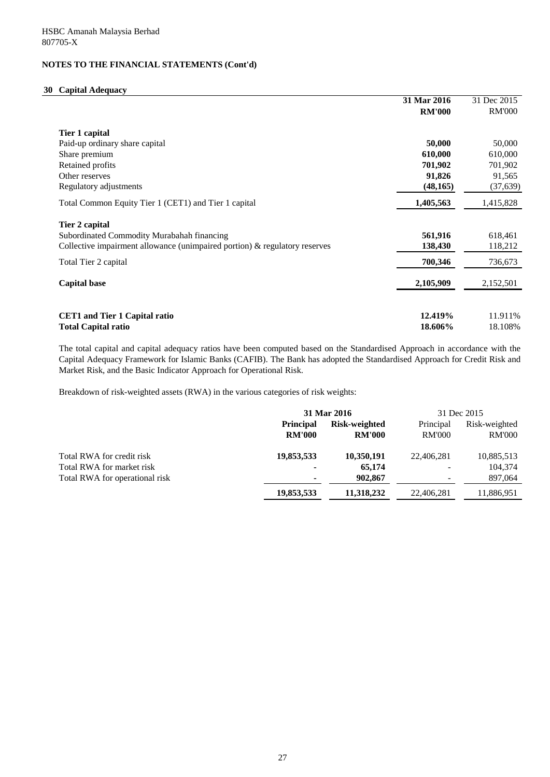### **30 Capital Adequacy**

|                                                                               | 31 Mar 2016   | 31 Dec 2015   |
|-------------------------------------------------------------------------------|---------------|---------------|
|                                                                               | <b>RM'000</b> | <b>RM'000</b> |
| Tier 1 capital                                                                |               |               |
| Paid-up ordinary share capital                                                | 50,000        | 50,000        |
| Share premium                                                                 | 610,000       | 610,000       |
| Retained profits                                                              | 701,902       | 701,902       |
| Other reserves                                                                | 91,826        | 91,565        |
| Regulatory adjustments                                                        | (48, 165)     | (37, 639)     |
| Total Common Equity Tier 1 (CET1) and Tier 1 capital                          | 1,405,563     | 1,415,828     |
| Tier 2 capital                                                                |               |               |
| Subordinated Commodity Murabahah financing                                    | 561,916       | 618,461       |
| Collective impairment allowance (unimpaired portion) $\&$ regulatory reserves | 138,430       | 118,212       |
| Total Tier 2 capital                                                          | 700,346       | 736,673       |
| <b>Capital base</b>                                                           | 2,105,909     | 2,152,501     |
|                                                                               |               |               |
| <b>CET1</b> and Tier 1 Capital ratio                                          | 12.419%       | 11.911%       |
| <b>Total Capital ratio</b>                                                    | 18.606%       | 18.108%       |

The total capital and capital adequacy ratios have been computed based on the Standardised Approach in accordance with the Capital Adequacy Framework for Islamic Banks (CAFIB). The Bank has adopted the Standardised Approach for Credit Risk and Market Risk, and the Basic Indicator Approach for Operational Risk.

Breakdown of risk-weighted assets (RWA) in the various categories of risk weights:

|                                | 31 Mar 2016      |                      | 31 Dec 2015   |               |
|--------------------------------|------------------|----------------------|---------------|---------------|
|                                | <b>Principal</b> | <b>Risk-weighted</b> | Principal     | Risk-weighted |
|                                | <b>RM'000</b>    | <b>RM'000</b>        | <b>RM'000</b> | <b>RM'000</b> |
| Total RWA for credit risk      | 19,853,533       | 10,350,191           | 22,406,281    | 10,885,513    |
| Total RWA for market risk      | $\blacksquare$   | 65,174               |               | 104,374       |
| Total RWA for operational risk | $\blacksquare$   | 902,867              |               | 897,064       |
|                                | 19,853,533       | 11,318,232           | 22,406,281    | 11,886,951    |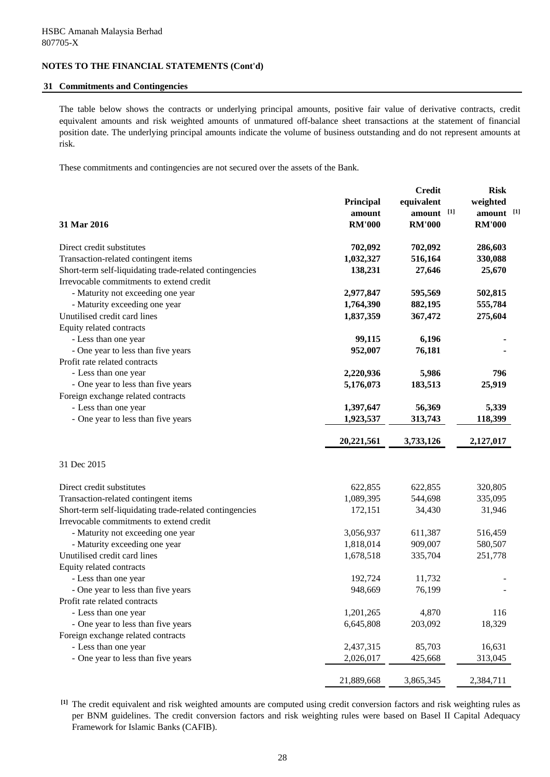### **31 Commitments and Contingencies**

The table below shows the contracts or underlying principal amounts, positive fair value of derivative contracts, credit equivalent amounts and risk weighted amounts of unmatured off-balance sheet transactions at the statement of financial position date. The underlying principal amounts indicate the volume of business outstanding and do not represent amounts at risk.

These commitments and contingencies are not secured over the assets of the Bank.

|                                                         |               | <b>Credit</b> | <b>Risk</b>   |  |
|---------------------------------------------------------|---------------|---------------|---------------|--|
|                                                         | Principal     | equivalent    | weighted      |  |
|                                                         | amount        | amount [1]    | amount [1]    |  |
| 31 Mar 2016                                             | <b>RM'000</b> | <b>RM'000</b> | <b>RM'000</b> |  |
| Direct credit substitutes                               | 702,092       | 702,092       | 286,603       |  |
| Transaction-related contingent items                    | 1,032,327     | 516,164       | 330,088       |  |
| Short-term self-liquidating trade-related contingencies | 138,231       | 27,646        | 25,670        |  |
| Irrevocable commitments to extend credit                |               |               |               |  |
| - Maturity not exceeding one year                       | 2,977,847     | 595,569       | 502,815       |  |
| - Maturity exceeding one year                           | 1,764,390     | 882,195       | 555,784       |  |
| Unutilised credit card lines                            | 1,837,359     | 367,472       | 275,604       |  |
| Equity related contracts                                |               |               |               |  |
| - Less than one year                                    | 99,115        | 6,196         |               |  |
| - One year to less than five years                      | 952,007       | 76,181        |               |  |
| Profit rate related contracts                           |               |               |               |  |
| - Less than one year                                    | 2,220,936     | 5,986         | 796           |  |
| - One year to less than five years                      | 5,176,073     | 183,513       | 25,919        |  |
| Foreign exchange related contracts                      |               |               |               |  |
| - Less than one year                                    | 1,397,647     | 56,369        | 5,339         |  |
| - One year to less than five years                      | 1,923,537     | 313,743       | 118,399       |  |
|                                                         |               |               |               |  |
|                                                         | 20,221,561    | 3,733,126     | 2,127,017     |  |
| 31 Dec 2015                                             |               |               |               |  |
| Direct credit substitutes                               | 622,855       | 622,855       | 320,805       |  |
| Transaction-related contingent items                    | 1,089,395     | 544,698       | 335,095       |  |
| Short-term self-liquidating trade-related contingencies | 172,151       | 34,430        | 31,946        |  |
| Irrevocable commitments to extend credit                |               |               |               |  |
| - Maturity not exceeding one year                       | 3,056,937     | 611,387       | 516,459       |  |
| - Maturity exceeding one year                           | 1,818,014     | 909,007       | 580,507       |  |
| Unutilised credit card lines                            | 1,678,518     | 335,704       | 251,778       |  |
| Equity related contracts                                |               |               |               |  |
| - Less than one year                                    | 192,724       | 11,732        |               |  |
| - One year to less than five years                      | 948,669       | 76,199        |               |  |
| Profit rate related contracts                           |               |               |               |  |
| - Less than one year                                    | 1,201,265     | 4,870         | 116           |  |
| - One year to less than five years                      | 6,645,808     | 203,092       | 18,329        |  |
| Foreign exchange related contracts                      |               |               |               |  |
| - Less than one year                                    | 2,437,315     | 85,703        | 16,631        |  |
| - One year to less than five years                      | 2,026,017     | 425,668       | 313,045       |  |
|                                                         | 21,889,668    | 3,865,345     | 2,384,711     |  |

**[1]** The credit equivalent and risk weighted amounts are computed using credit conversion factors and risk weighting rules as per BNM guidelines. The credit conversion factors and risk weighting rules were based on Basel II Capital Adequacy Framework for Islamic Banks (CAFIB).